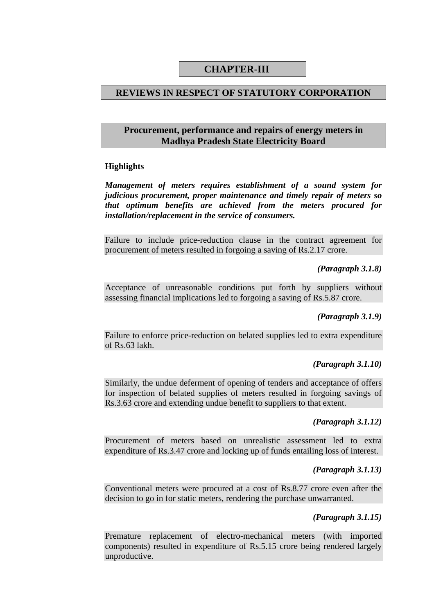# **CHAPTER-III**

#### **REVIEWS IN RESPECT OF STATUTORY CORPORATION**

#### **Procurement, performance and repairs of energy meters in Madhya Pradesh State Electricity Board**

#### **Highlights**

*Management of meters requires establishment of a sound system for judicious procurement, proper maintenance and timely repair of meters so that optimum benefits are achieved from the meters procured for installation/replacement in the service of consumers.* 

Failure to include price-reduction clause in the contract agreement for procurement of meters resulted in forgoing a saving of Rs.2.17 crore.

#### *(Paragraph 3.1.8)*

Acceptance of unreasonable conditions put forth by suppliers without assessing financial implications led to forgoing a saving of Rs.5.87 crore.

#### *(Paragraph 3.1.9)*

Failure to enforce price-reduction on belated supplies led to extra expenditure of Rs.63 lakh.

#### *(Paragraph 3.1.10)*

Similarly, the undue deferment of opening of tenders and acceptance of offers for inspection of belated supplies of meters resulted in forgoing savings of Rs.3.63 crore and extending undue benefit to suppliers to that extent.

#### *(Paragraph 3.1.12)*

Procurement of meters based on unrealistic assessment led to extra expenditure of Rs.3.47 crore and locking up of funds entailing loss of interest.

#### *(Paragraph 3.1.13)*

Conventional meters were procured at a cost of Rs.8.77 crore even after the decision to go in for static meters, rendering the purchase unwarranted.

#### *(Paragraph 3.1.15)*

Premature replacement of electro-mechanical meters (with imported components) resulted in expenditure of Rs.5.15 crore being rendered largely unproductive.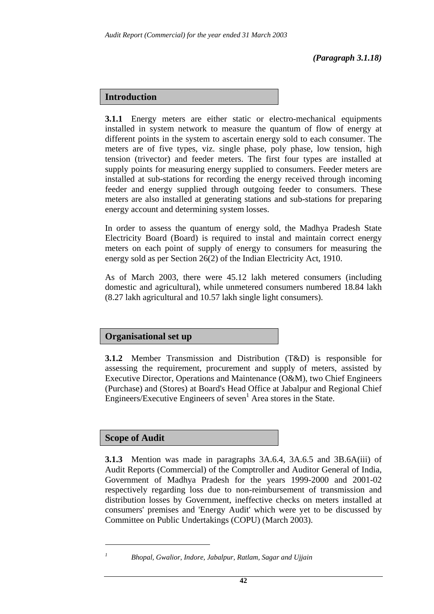#### **Introduction**

**3.1.1** Energy meters are either static or electro-mechanical equipments installed in system network to measure the quantum of flow of energy at different points in the system to ascertain energy sold to each consumer. The meters are of five types, viz. single phase, poly phase, low tension, high tension (trivector) and feeder meters. The first four types are installed at supply points for measuring energy supplied to consumers. Feeder meters are installed at sub-stations for recording the energy received through incoming feeder and energy supplied through outgoing feeder to consumers. These meters are also installed at generating stations and sub-stations for preparing energy account and determining system losses.

In order to assess the quantum of energy sold, the Madhya Pradesh State Electricity Board (Board) is required to instal and maintain correct energy meters on each point of supply of energy to consumers for measuring the energy sold as per Section 26(2) of the Indian Electricity Act, 1910.

As of March 2003, there were 45.12 lakh metered consumers (including domestic and agricultural), while unmetered consumers numbered 18.84 lakh (8.27 lakh agricultural and 10.57 lakh single light consumers).

# **Organisational set up**

**3.1.2** Member Transmission and Distribution (T&D) is responsible for assessing the requirement, procurement and supply of meters, assisted by Executive Director, Operations and Maintenance (O&M), two Chief Engineers (Purchase) and (Stores) at Board's Head Office at Jabalpur and Regional Chief Engineers/Executive Engineers of seven<sup>1</sup> Area stores in the State.

# **Scope of Audit**

**3.1.3** Mention was made in paragraphs 3A.6.4, 3A.6.5 and 3B.6A(iii) of Audit Reports (Commercial) of the Comptroller and Auditor General of India, Government of Madhya Pradesh for the years 1999-2000 and 2001-02 respectively regarding loss due to non-reimbursement of transmission and distribution losses by Government, ineffective checks on meters installed at consumers' premises and 'Energy Audit' which were yet to be discussed by Committee on Public Undertakings (COPU) (March 2003).

*Bhopal, Gwalior, Indore, Jabalpur, Ratlam, Sagar and Ujjain*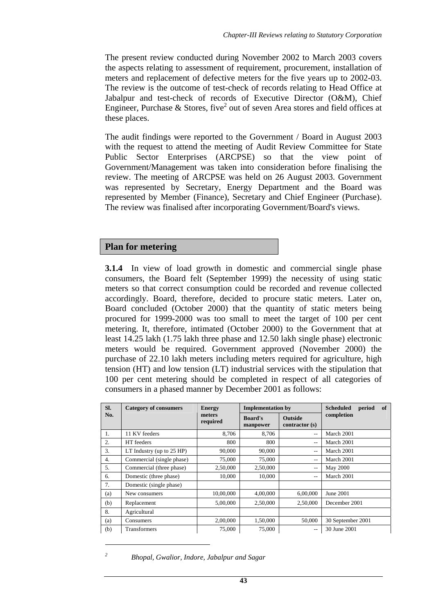The present review conducted during November 2002 to March 2003 covers the aspects relating to assessment of requirement, procurement, installation of meters and replacement of defective meters for the five years up to 2002-03. The review is the outcome of test-check of records relating to Head Office at Jabalpur and test-check of records of Executive Director (O&M), Chief Engineer, Purchase & Stores, five<sup>2</sup> out of seven Area stores and field offices at these places.

The audit findings were reported to the Government / Board in August 2003 with the request to attend the meeting of Audit Review Committee for State Public Sector Enterprises (ARCPSE) so that the view point of Government/Management was taken into consideration before finalising the review. The meeting of ARCPSE was held on 26 August 2003. Government was represented by Secretary, Energy Department and the Board was represented by Member (Finance), Secretary and Chief Engineer (Purchase). The review was finalised after incorporating Government/Board's views.

#### **Plan for metering**

**3.1.4** In view of load growth in domestic and commercial single phase consumers, the Board felt (September 1999) the necessity of using static meters so that correct consumption could be recorded and revenue collected accordingly. Board, therefore, decided to procure static meters. Later on, Board concluded (October 2000) that the quantity of static meters being procured for 1999-2000 was too small to meet the target of 100 per cent metering. It, therefore, intimated (October 2000) to the Government that at least 14.25 lakh (1.75 lakh three phase and 12.50 lakh single phase) electronic meters would be required. Government approved (November 2000) the purchase of 22.10 lakh meters including meters required for agriculture, high tension (HT) and low tension (LT) industrial services with the stipulation that 100 per cent metering should be completed in respect of all categories of consumers in a phased manner by December 2001 as follows:

| Sl. | <b>Category of consumers</b> | <b>Energy</b>      | <b>Implementation by</b>   |                                 | <b>Scheduled</b><br>period<br>of |
|-----|------------------------------|--------------------|----------------------------|---------------------------------|----------------------------------|
| No. |                              | meters<br>required | <b>Board's</b><br>manpower | <b>Outside</b><br>contractor(s) | completion                       |
| 1.  | 11 KV feeders                | 8,706              | 8,706                      | --                              | March 2001                       |
| 2.  | HT feeders                   | 800                | 800                        | $-$                             | March 2001                       |
| 3.  | LT Industry (up to $25$ HP)  | 90,000             | 90,000                     | $-$                             | March 2001                       |
| 4.  | Commercial (single phase)    | 75,000             | 75,000                     | $-$                             | March 2001                       |
| 5.  | Commercial (three phase)     | 2,50,000           | 2,50,000                   | --                              | <b>May 2000</b>                  |
| 6.  | Domestic (three phase)       | 10,000             | 10,000                     | $-$                             | March 2001                       |
| 7.  | Domestic (single phase)      |                    |                            |                                 |                                  |
| (a) | New consumers                | 10,00,000          | 4,00,000                   | 6,00,000                        | June 2001                        |
| (b) | Replacement                  | 5,00,000           | 2,50,000                   | 2,50,000                        | December 2001                    |
| 8.  | Agricultural                 |                    |                            |                                 |                                  |
| (a) | Consumers                    | 2,00,000           | 1,50,000                   | 50,000                          | 30 September 2001                |
| (b) | <b>Transformers</b>          | 75,000             | 75,000                     | $-$                             | 30 June 2001                     |

 *Bhopal, Gwalior, Indore, Jabalpur and Sagar*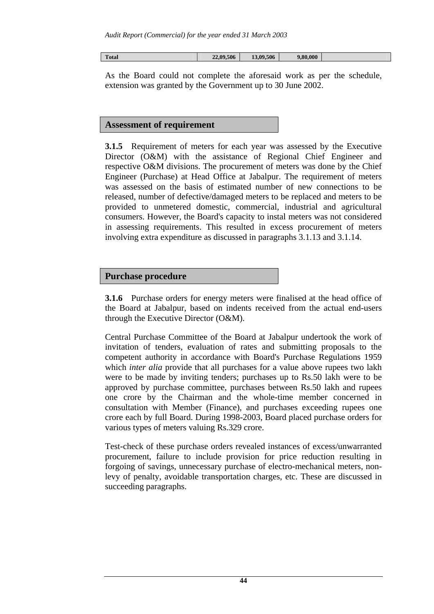| <b>Total</b> | 22.09.506 | 13.09.506 | 9,80,000 |  |
|--------------|-----------|-----------|----------|--|

As the Board could not complete the aforesaid work as per the schedule, extension was granted by the Government up to 30 June 2002.

#### **Assessment of requirement**

**3.1.5** Requirement of meters for each year was assessed by the Executive Director (O&M) with the assistance of Regional Chief Engineer and respective O&M divisions. The procurement of meters was done by the Chief Engineer (Purchase) at Head Office at Jabalpur. The requirement of meters was assessed on the basis of estimated number of new connections to be released, number of defective/damaged meters to be replaced and meters to be provided to unmetered domestic, commercial, industrial and agricultural consumers. However, the Board's capacity to instal meters was not considered in assessing requirements. This resulted in excess procurement of meters involving extra expenditure as discussed in paragraphs 3.1.13 and 3.1.14.

#### **Purchase procedure**

**3.1.6** Purchase orders for energy meters were finalised at the head office of the Board at Jabalpur, based on indents received from the actual end-users through the Executive Director (O&M).

Central Purchase Committee of the Board at Jabalpur undertook the work of invitation of tenders, evaluation of rates and submitting proposals to the competent authority in accordance with Board's Purchase Regulations 1959 which *inter alia* provide that all purchases for a value above rupees two lakh were to be made by inviting tenders; purchases up to Rs.50 lakh were to be approved by purchase committee, purchases between Rs.50 lakh and rupees one crore by the Chairman and the whole-time member concerned in consultation with Member (Finance), and purchases exceeding rupees one crore each by full Board. During 1998-2003, Board placed purchase orders for various types of meters valuing Rs.329 crore.

Test-check of these purchase orders revealed instances of excess/unwarranted procurement, failure to include provision for price reduction resulting in forgoing of savings, unnecessary purchase of electro-mechanical meters, nonlevy of penalty, avoidable transportation charges, etc. These are discussed in succeeding paragraphs.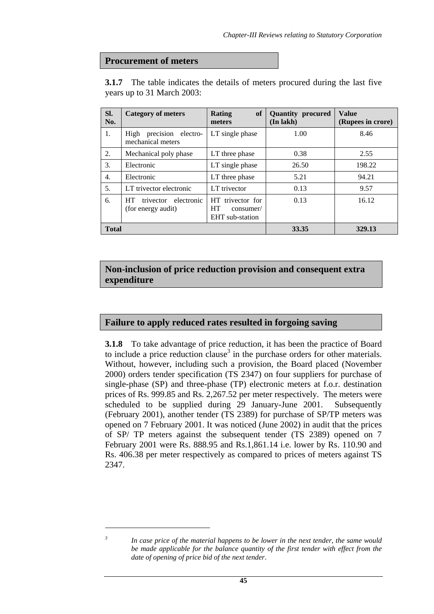#### **Procurement of meters**

 $\overline{a}$ *3*

**3.1.7** The table indicates the details of meters procured during the last five years up to 31 March 2003:

| SI.<br>No.   | <b>Category of meters</b>                           | <sub>of</sub><br><b>Rating</b><br>meters                          | <b>Quantity procured</b><br>(In lakh) | <b>Value</b><br>(Rupees in crore) |
|--------------|-----------------------------------------------------|-------------------------------------------------------------------|---------------------------------------|-----------------------------------|
| 1.           | precision electro-<br>High<br>mechanical meters     | LT single phase                                                   | 1.00                                  | 8.46                              |
| 2.           | Mechanical poly phase                               | LT three phase                                                    | 0.38                                  | 2.55                              |
| 3.           | Electronic                                          | LT single phase                                                   | 26.50                                 | 198.22                            |
| 4.           | Electronic                                          | LT three phase                                                    | 5.21                                  | 94.21                             |
| 5.           | LT trivector electronic                             | LT trivector                                                      | 0.13                                  | 9.57                              |
| 6.           | HT<br>electronic<br>trivector<br>(for energy audit) | trivector for<br>HT.<br><b>HT</b><br>consumer/<br>EHT sub-station | 0.13                                  | 16.12                             |
| <b>Total</b> |                                                     |                                                                   | 33.35                                 | 329.13                            |

#### **Non-inclusion of price reduction provision and consequent extra expenditure**

# **Failure to apply reduced rates resulted in forgoing saving**

**3.1.8** To take advantage of price reduction, it has been the practice of Board to include a price reduction clause<sup>3</sup> in the purchase orders for other materials. Without, however, including such a provision, the Board placed (November 2000) orders tender specification (TS 2347) on four suppliers for purchase of single-phase (SP) and three-phase (TP) electronic meters at f.o.r. destination prices of Rs. 999.85 and Rs. 2,267.52 per meter respectively. The meters were scheduled to be supplied during 29 January-June 2001. Subsequently (February 2001), another tender (TS 2389) for purchase of SP/TP meters was opened on 7 February 2001. It was noticed (June 2002) in audit that the prices of SP/ TP meters against the subsequent tender (TS 2389) opened on 7 February 2001 were Rs. 888.95 and Rs.1,861.14 i.e. lower by Rs. 110.90 and Rs. 406.38 per meter respectively as compared to prices of meters against TS 2347.

*In case price of the material happens to be lower in the next tender, the same would be made applicable for the balance quantity of the first tender with effect from the date of opening of price bid of the next tender*.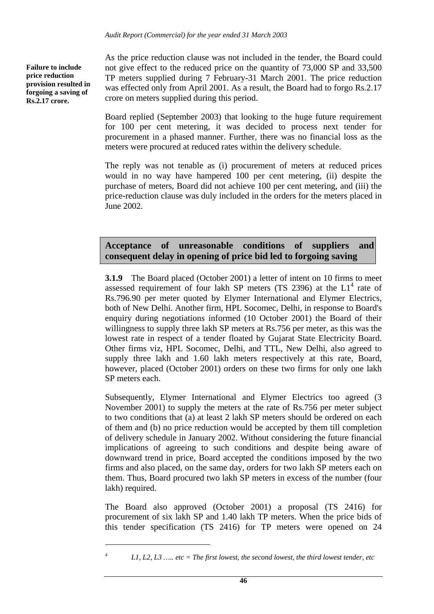**Failure to include price reduction provision resulted in forgoing a saving of Rs.2.17 crore.** 

> $\overline{a}$ *4*

As the price reduction clause was not included in the tender, the Board could not give effect to the reduced price on the quantity of 73,000 SP and 33,500 TP meters supplied during 7 February-31 March 2001. The price reduction was effected only from April 2001. As a result, the Board had to forgo Rs.2.17 crore on meters supplied during this period.

Board replied (September 2003) that looking to the huge future requirement for 100 per cent metering, it was decided to process next tender for procurement in a phased manner. Further, there was no financial loss as the meters were procured at reduced rates within the delivery schedule.

The reply was not tenable as (i) procurement of meters at reduced prices would in no way have hampered 100 per cent metering, (ii) despite the purchase of meters, Board did not achieve 100 per cent metering, and (iii) the price-reduction clause was duly included in the orders for the meters placed in June 2002.

# **Acceptance of unreasonable conditions of suppliers and consequent delay in opening of price bid led to forgoing saving**

**3.1.9** The Board placed (October 2001) a letter of intent on 10 firms to meet assessed requirement of four lakh SP meters (TS 2396) at the  $LI<sup>4</sup>$  rate of Rs.796.90 per meter quoted by Elymer International and Elymer Electrics, both of New Delhi. Another firm, HPL Socomec, Delhi, in response to Board's enquiry during negotiations informed (10 October 2001) the Board of their willingness to supply three lakh SP meters at Rs.756 per meter, as this was the lowest rate in respect of a tender floated by Gujarat State Electricity Board. Other firms viz, HPL Socomec, Delhi, and TTL, New Delhi, also agreed to supply three lakh and 1.60 lakh meters respectively at this rate, Board, however, placed (October 2001) orders on these two firms for only one lakh SP meters each.

Subsequently, Elymer International and Elymer Electrics too agreed (3 November 2001) to supply the meters at the rate of Rs.756 per meter subject to two conditions that (a) at least 2 lakh SP meters should be ordered on each of them and (b) no price reduction would be accepted by them till completion of delivery schedule in January 2002. Without considering the future financial implications of agreeing to such conditions and despite being aware of downward trend in price, Board accepted the conditions imposed by the two firms and also placed, on the same day, orders for two lakh SP meters each on them. Thus, Board procured two lakh SP meters in excess of the number (four lakh) required.

The Board also approved (October 2001) a proposal (TS 2416) for procurement of six lakh SP and 1.40 lakh TP meters. When the price bids of this tender specification (TS 2416) for TP meters were opened on 24

*L1, L2, L3 ….. etc = The first lowest, the second lowest, the third lowest tender, etc*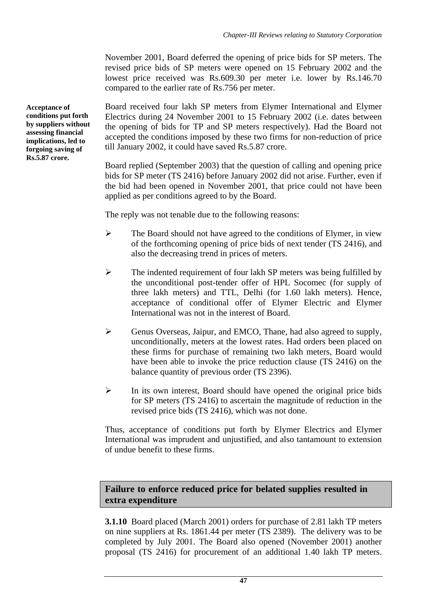November 2001, Board deferred the opening of price bids for SP meters. The revised price bids of SP meters were opened on 15 February 2002 and the lowest price received was Rs.609.30 per meter i.e. lower by Rs.146.70 compared to the earlier rate of Rs.756 per meter.

Board received four lakh SP meters from Elymer International and Elymer Electrics during 24 November 2001 to 15 February 2002 (i.e. dates between the opening of bids for TP and SP meters respectively). Had the Board not accepted the conditions imposed by these two firms for non-reduction of price till January 2002, it could have saved Rs.5.87 crore.

Board replied (September 2003) that the question of calling and opening price bids for SP meter (TS 2416) before January 2002 did not arise. Further, even if the bid had been opened in November 2001, that price could not have been applied as per conditions agreed to by the Board.

The reply was not tenable due to the following reasons:

- $\triangleright$  The Board should not have agreed to the conditions of Elymer, in view of the forthcoming opening of price bids of next tender (TS 2416), and also the decreasing trend in prices of meters.
- $\triangleright$  The indented requirement of four lakh SP meters was being fulfilled by the unconditional post-tender offer of HPL Socomec (for supply of three lakh meters) and TTL, Delhi (for 1.60 lakh meters). Hence, acceptance of conditional offer of Elymer Electric and Elymer International was not in the interest of Board.
- ! Genus Overseas, Jaipur, and EMCO, Thane, had also agreed to supply, unconditionally, meters at the lowest rates. Had orders been placed on these firms for purchase of remaining two lakh meters, Board would have been able to invoke the price reduction clause (TS 2416) on the balance quantity of previous order (TS 2396).
- $\triangleright$  In its own interest, Board should have opened the original price bids for SP meters (TS 2416) to ascertain the magnitude of reduction in the revised price bids (TS 2416), which was not done.

Thus, acceptance of conditions put forth by Elymer Electrics and Elymer International was imprudent and unjustified, and also tantamount to extension of undue benefit to these firms.

# **Failure to enforce reduced price for belated supplies resulted in extra expenditure**

**3.1.10** Board placed (March 2001) orders for purchase of 2.81 lakh TP meters on nine suppliers at Rs. 1861.44 per meter (TS 2389). The delivery was to be completed by July 2001. The Board also opened (November 2001) another proposal (TS 2416) for procurement of an additional 1.40 lakh TP meters.

**Acceptance of conditions put forth by suppliers without assessing financial implications, led to forgoing saving of Rs.5.87 crore.**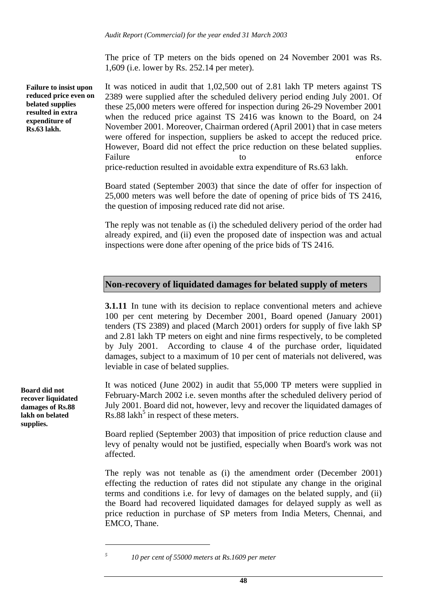The price of TP meters on the bids opened on 24 November 2001 was Rs. 1,609 (i.e. lower by Rs. 252.14 per meter).

**Failure to insist upon reduced price even on belated supplies resulted in extra expenditure of Rs.63 lakh.** 

It was noticed in audit that 1,02,500 out of 2.81 lakh TP meters against TS 2389 were supplied after the scheduled delivery period ending July 2001. Of these 25,000 meters were offered for inspection during 26-29 November 2001 when the reduced price against TS 2416 was known to the Board, on 24 November 2001. Moreover, Chairman ordered (April 2001) that in case meters were offered for inspection, suppliers be asked to accept the reduced price. However, Board did not effect the price reduction on these belated supplies. Failure to the enforce enforce price-reduction resulted in avoidable extra expenditure of Rs.63 lakh.

Board stated (September 2003) that since the date of offer for inspection of 25,000 meters was well before the date of opening of price bids of TS 2416, the question of imposing reduced rate did not arise.

The reply was not tenable as (i) the scheduled delivery period of the order had already expired, and (ii) even the proposed date of inspection was and actual inspections were done after opening of the price bids of TS 2416.

#### **Non-recovery of liquidated damages for belated supply of meters**

**3.1.11** In tune with its decision to replace conventional meters and achieve 100 per cent metering by December 2001, Board opened (January 2001) tenders (TS 2389) and placed (March 2001) orders for supply of five lakh SP and 2.81 lakh TP meters on eight and nine firms respectively, to be completed by July 2001. According to clause 4 of the purchase order, liquidated damages, subject to a maximum of 10 per cent of materials not delivered, was leviable in case of belated supplies.

It was noticed (June 2002) in audit that 55,000 TP meters were supplied in February-March 2002 i.e. seven months after the scheduled delivery period of July 2001. Board did not, however, levy and recover the liquidated damages of  $\text{Rs.88}$  lakh<sup>5</sup> in respect of these meters.

Board replied (September 2003) that imposition of price reduction clause and levy of penalty would not be justified, especially when Board's work was not affected.

The reply was not tenable as (i) the amendment order (December 2001) effecting the reduction of rates did not stipulate any change in the original terms and conditions i.e. for levy of damages on the belated supply, and (ii) the Board had recovered liquidated damages for delayed supply as well as price reduction in purchase of SP meters from India Meters, Chennai, and EMCO, Thane.

 $\overline{a}$ *5*

**Board did not recover liquidated damages of Rs.88 lakh on belated supplies.** 

 *<sup>10</sup> per cent of 55000 meters at Rs.1609 per meter*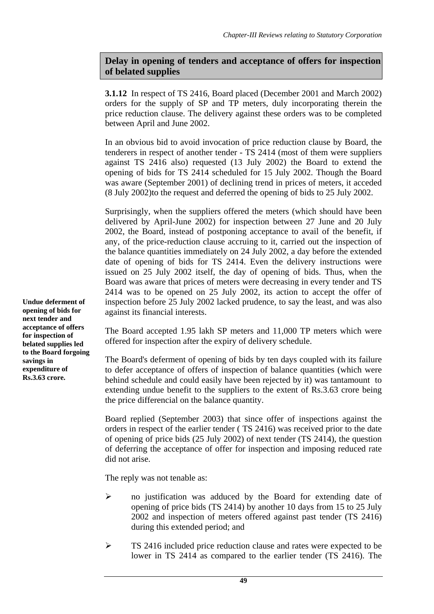# **Delay in opening of tenders and acceptance of offers for inspection of belated supplies**

**3.1.12** In respect of TS 2416, Board placed (December 2001 and March 2002) orders for the supply of SP and TP meters, duly incorporating therein the price reduction clause. The delivery against these orders was to be completed between April and June 2002.

In an obvious bid to avoid invocation of price reduction clause by Board, the tenderers in respect of another tender - TS 2414 (most of them were suppliers against TS 2416 also) requested (13 July 2002) the Board to extend the opening of bids for TS 2414 scheduled for 15 July 2002. Though the Board was aware (September 2001) of declining trend in prices of meters, it acceded (8 July 2002)to the request and deferred the opening of bids to 25 July 2002.

Surprisingly, when the suppliers offered the meters (which should have been delivered by April-June 2002) for inspection between 27 June and 20 July 2002, the Board, instead of postponing acceptance to avail of the benefit, if any, of the price-reduction clause accruing to it, carried out the inspection of the balance quantities immediately on 24 July 2002, a day before the extended date of opening of bids for TS 2414. Even the delivery instructions were issued on 25 July 2002 itself, the day of opening of bids. Thus, when the Board was aware that prices of meters were decreasing in every tender and TS 2414 was to be opened on 25 July 2002, its action to accept the offer of inspection before 25 July 2002 lacked prudence, to say the least, and was also against its financial interests.

The Board accepted 1.95 lakh SP meters and 11,000 TP meters which were offered for inspection after the expiry of delivery schedule.

The Board's deferment of opening of bids by ten days coupled with its failure to defer acceptance of offers of inspection of balance quantities (which were behind schedule and could easily have been rejected by it) was tantamount to extending undue benefit to the suppliers to the extent of Rs.3.63 crore being the price differencial on the balance quantity.

Board replied (September 2003) that since offer of inspections against the orders in respect of the earlier tender ( TS 2416) was received prior to the date of opening of price bids (25 July 2002) of next tender (TS 2414), the question of deferring the acceptance of offer for inspection and imposing reduced rate did not arise.

The reply was not tenable as:

- ! no justification was adduced by the Board for extending date of opening of price bids (TS 2414) by another 10 days from 15 to 25 July 2002 and inspection of meters offered against past tender (TS 2416) during this extended period; and
- **EXECUTE:** TS 2416 included price reduction clause and rates were expected to be lower in TS 2414 as compared to the earlier tender (TS 2416). The

**Undue deferment of opening of bids for next tender and acceptance of offers for inspection of belated supplies led to the Board forgoing savings in expenditure of Rs.3.63 crore.**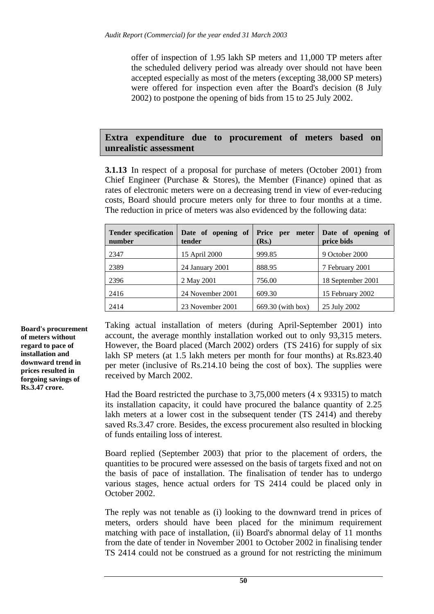offer of inspection of 1.95 lakh SP meters and 11,000 TP meters after the scheduled delivery period was already over should not have been accepted especially as most of the meters (excepting 38,000 SP meters) were offered for inspection even after the Board's decision (8 July 2002) to postpone the opening of bids from 15 to 25 July 2002.

# **Extra expenditure due to procurement of meters based on unrealistic assessment**

**3.1.13** In respect of a proposal for purchase of meters (October 2001) from Chief Engineer (Purchase & Stores), the Member (Finance) opined that as rates of electronic meters were on a decreasing trend in view of ever-reducing costs, Board should procure meters only for three to four months at a time. The reduction in price of meters was also evidenced by the following data:

| <b>Tender specification</b><br>number | Date of opening of<br>tender | Price per meter<br>( <b>Rs.</b> ) | Date of opening of<br>price bids |
|---------------------------------------|------------------------------|-----------------------------------|----------------------------------|
| 2347                                  | 15 April 2000                | 999.85                            | 9 October 2000                   |
| 2389                                  | 24 January 2001              | 888.95                            | 7 February 2001                  |
| 2396                                  | 2 May 2001                   | 756.00                            | 18 September 2001                |
| 2416                                  | 24 November 2001             | 609.30                            | 15 February 2002                 |
| 2414                                  | 23 November 2001             | 669.30 (with box)                 | 25 July 2002                     |

Taking actual installation of meters (during April-September 2001) into account, the average monthly installation worked out to only 93,315 meters. However, the Board placed (March 2002) orders (TS 2416) for supply of six lakh SP meters (at 1.5 lakh meters per month for four months) at Rs.823.40 per meter (inclusive of Rs.214.10 being the cost of box). The supplies were received by March 2002.

Had the Board restricted the purchase to 3,75,000 meters (4 x 93315) to match its installation capacity, it could have procured the balance quantity of 2.25 lakh meters at a lower cost in the subsequent tender (TS 2414) and thereby saved Rs.3.47 crore. Besides, the excess procurement also resulted in blocking of funds entailing loss of interest.

Board replied (September 2003) that prior to the placement of orders, the quantities to be procured were assessed on the basis of targets fixed and not on the basis of pace of installation. The finalisation of tender has to undergo various stages, hence actual orders for TS 2414 could be placed only in October 2002.

The reply was not tenable as (i) looking to the downward trend in prices of meters, orders should have been placed for the minimum requirement matching with pace of installation, (ii) Board's abnormal delay of 11 months from the date of tender in November 2001 to October 2002 in finalising tender TS 2414 could not be construed as a ground for not restricting the minimum

**Board's procurement of meters without regard to pace of installation and downward trend in prices resulted in forgoing savings of Rs.3.47 crore.**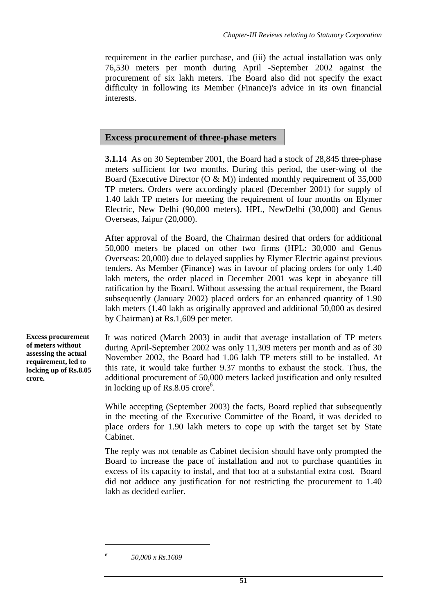requirement in the earlier purchase, and (iii) the actual installation was only 76,530 meters per month during April -September 2002 against the procurement of six lakh meters. The Board also did not specify the exact difficulty in following its Member (Finance)'s advice in its own financial interests.

# **Excess procurement of three-phase meters**

**3.1.14** As on 30 September 2001, the Board had a stock of 28,845 three-phase meters sufficient for two months. During this period, the user-wing of the Board (Executive Director (O & M)) indented monthly requirement of 35,000 TP meters. Orders were accordingly placed (December 2001) for supply of 1.40 lakh TP meters for meeting the requirement of four months on Elymer Electric, New Delhi (90,000 meters), HPL, NewDelhi (30,000) and Genus Overseas, Jaipur (20,000).

After approval of the Board, the Chairman desired that orders for additional 50,000 meters be placed on other two firms (HPL: 30,000 and Genus Overseas: 20,000) due to delayed supplies by Elymer Electric against previous tenders. As Member (Finance) was in favour of placing orders for only 1.40 lakh meters, the order placed in December 2001 was kept in abeyance till ratification by the Board. Without assessing the actual requirement, the Board subsequently (January 2002) placed orders for an enhanced quantity of 1.90 lakh meters (1.40 lakh as originally approved and additional 50,000 as desired by Chairman) at Rs.1,609 per meter.

It was noticed (March 2003) in audit that average installation of TP meters during April-September 2002 was only 11,309 meters per month and as of 30 November 2002, the Board had 1.06 lakh TP meters still to be installed. At this rate, it would take further 9.37 months to exhaust the stock. Thus, the additional procurement of 50,000 meters lacked justification and only resulted in locking up of Rs.8.05 crore $6$ .

While accepting (September 2003) the facts, Board replied that subsequently in the meeting of the Executive Committee of the Board, it was decided to place orders for 1.90 lakh meters to cope up with the target set by State Cabinet.

The reply was not tenable as Cabinet decision should have only prompted the Board to increase the pace of installation and not to purchase quantities in excess of its capacity to instal, and that too at a substantial extra cost. Board did not adduce any justification for not restricting the procurement to 1.40 lakh as decided earlier.

 *50,000 x Rs.1609* 

 $\overline{a}$ *6*

**Excess procurement of meters without assessing the actual requirement, led to locking up of Rs.8.05 crore.**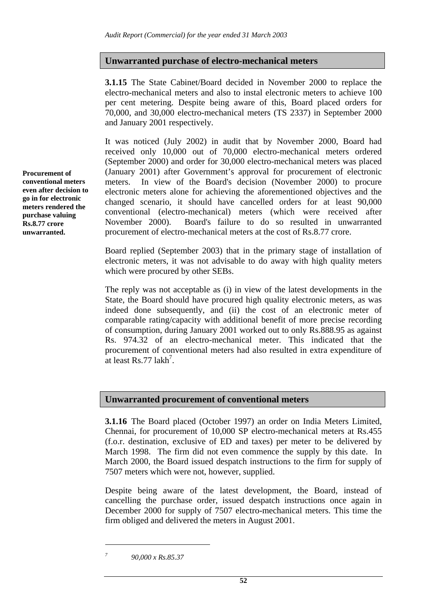#### **Unwarranted purchase of electro-mechanical meters**

**3.1.15** The State Cabinet/Board decided in November 2000 to replace the electro-mechanical meters and also to instal electronic meters to achieve 100 per cent metering. Despite being aware of this, Board placed orders for 70,000, and 30,000 electro-mechanical meters (TS 2337) in September 2000 and January 2001 respectively.

It was noticed (July 2002) in audit that by November 2000, Board had received only 10,000 out of 70,000 electro-mechanical meters ordered (September 2000) and order for 30,000 electro-mechanical meters was placed (January 2001) after Government's approval for procurement of electronic meters. In view of the Board's decision (November 2000) to procure electronic meters alone for achieving the aforementioned objectives and the changed scenario, it should have cancelled orders for at least 90,000 conventional (electro-mechanical) meters (which were received after November 2000). Board's failure to do so resulted in unwarranted procurement of electro-mechanical meters at the cost of Rs.8.77 crore.

Board replied (September 2003) that in the primary stage of installation of electronic meters, it was not advisable to do away with high quality meters which were procured by other SEBs.

The reply was not acceptable as (i) in view of the latest developments in the State, the Board should have procured high quality electronic meters, as was indeed done subsequently, and (ii) the cost of an electronic meter of comparable rating/capacity with additional benefit of more precise recording of consumption, during January 2001 worked out to only Rs.888.95 as against Rs. 974.32 of an electro-mechanical meter. This indicated that the procurement of conventional meters had also resulted in extra expenditure of at least  $Rs.77$  lakh<sup>7</sup>.

# **Unwarranted procurement of conventional meters**

**3.1.16** The Board placed (October 1997) an order on India Meters Limited, Chennai, for procurement of 10,000 SP electro-mechanical meters at Rs.455 (f.o.r. destination, exclusive of ED and taxes) per meter to be delivered by March 1998. The firm did not even commence the supply by this date. In March 2000, the Board issued despatch instructions to the firm for supply of 7507 meters which were not, however, supplied.

Despite being aware of the latest development, the Board, instead of cancelling the purchase order, issued despatch instructions once again in December 2000 for supply of 7507 electro-mechanical meters. This time the firm obliged and delivered the meters in August 2001.

 $\overline{a}$ *7*

**Procurement of conventional meters even after decision to go in for electronic meters rendered the purchase valuing Rs.8.77 crore unwarranted.** 

 *<sup>90,000</sup> x Rs.85.37*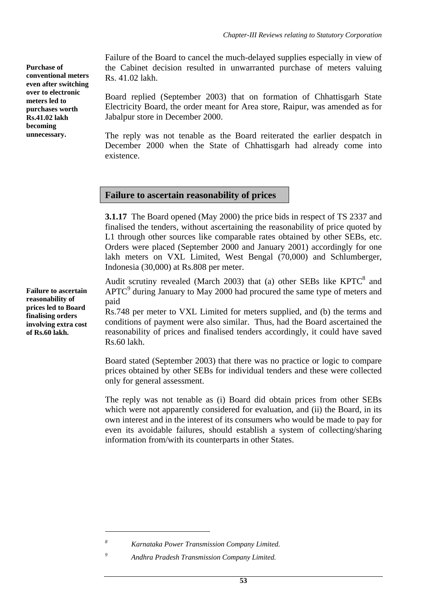**Purchase of conventional meters even after switching over to electronic meters led to purchases worth Rs.41.02 lakh becoming unnecessary.** 

**Failure to ascertain reasonability of prices led to Board finalising orders involving extra cost of Rs.60 lakh.** 

Failure of the Board to cancel the much-delayed supplies especially in view of the Cabinet decision resulted in unwarranted purchase of meters valuing Rs. 41.02 lakh.

Board replied (September 2003) that on formation of Chhattisgarh State Electricity Board, the order meant for Area store, Raipur, was amended as for Jabalpur store in December 2000.

The reply was not tenable as the Board reiterated the earlier despatch in December 2000 when the State of Chhattisgarh had already come into existence.

#### **Failure to ascertain reasonability of prices**

**3.1.17** The Board opened (May 2000) the price bids in respect of TS 2337 and finalised the tenders, without ascertaining the reasonability of price quoted by L1 through other sources like comparable rates obtained by other SEBs, etc. Orders were placed (September 2000 and January 2001) accordingly for one lakh meters on VXL Limited, West Bengal (70,000) and Schlumberger, Indonesia (30,000) at Rs.808 per meter.

Audit scrutiny revealed (March 2003) that (a) other SEBs like KPTC<sup>8</sup> and  $APTC<sup>9</sup>$  during January to May 2000 had procured the same type of meters and paid

Rs.748 per meter to VXL Limited for meters supplied, and (b) the terms and conditions of payment were also similar. Thus, had the Board ascertained the reasonability of prices and finalised tenders accordingly, it could have saved Rs.60 lakh.

Board stated (September 2003) that there was no practice or logic to compare prices obtained by other SEBs for individual tenders and these were collected only for general assessment.

The reply was not tenable as (i) Board did obtain prices from other SEBs which were not apparently considered for evaluation, and (ii) the Board, in its own interest and in the interest of its consumers who would be made to pay for even its avoidable failures, should establish a system of collecting/sharing information from/with its counterparts in other States.

*Karnataka Power Transmission Company Limited.* 

*<sup>9</sup> Andhra Pradesh Transmission Company Limited.*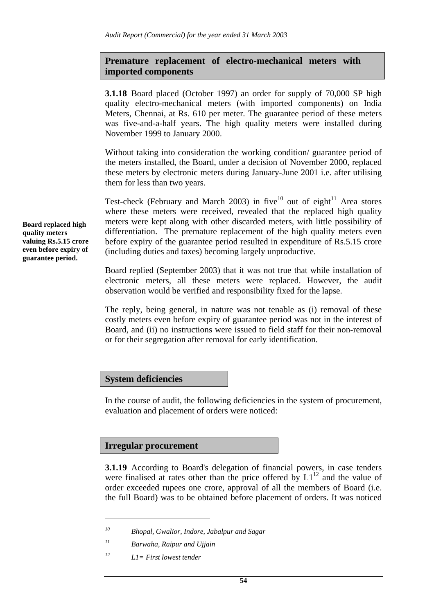# **Premature replacement of electro-mechanical meters with imported components**

**3.1.18** Board placed (October 1997) an order for supply of 70,000 SP high quality electro-mechanical meters (with imported components) on India Meters, Chennai, at Rs. 610 per meter. The guarantee period of these meters was five-and-a-half years. The high quality meters were installed during November 1999 to January 2000.

Without taking into consideration the working condition/ guarantee period of the meters installed, the Board, under a decision of November 2000, replaced these meters by electronic meters during January-June 2001 i.e. after utilising them for less than two years.

Test-check (February and March 2003) in five<sup>10</sup> out of eight<sup>11</sup> Area stores where these meters were received, revealed that the replaced high quality meters were kept along with other discarded meters, with little possibility of differentiation. The premature replacement of the high quality meters even before expiry of the guarantee period resulted in expenditure of Rs.5.15 crore (including duties and taxes) becoming largely unproductive.

Board replied (September 2003) that it was not true that while installation of electronic meters, all these meters were replaced. However, the audit observation would be verified and responsibility fixed for the lapse.

The reply, being general, in nature was not tenable as (i) removal of these costly meters even before expiry of guarantee period was not in the interest of Board, and (ii) no instructions were issued to field staff for their non-removal or for their segregation after removal for early identification.

# **System deficiencies**

In the course of audit, the following deficiencies in the system of procurement, evaluation and placement of orders were noticed:

# **Irregular procurement**

**3.1.19** According to Board's delegation of financial powers, in case tenders were finalised at rates other than the price offered by  $L1^{12}$  and the value of order exceeded rupees one crore, approval of all the members of Board (i.e. the full Board) was to be obtained before placement of orders. It was noticed

 $\overline{a}$ 

**Board replaced high quality meters valuing Rs.5.15 crore even before expiry of guarantee period.** 

*<sup>10</sup> Bhopal, Gwalior, Indore, Jabalpur and Sagar* 

*<sup>11</sup> Barwaha, Raipur and Ujjain* 

*<sup>12</sup> L1= First lowest tender*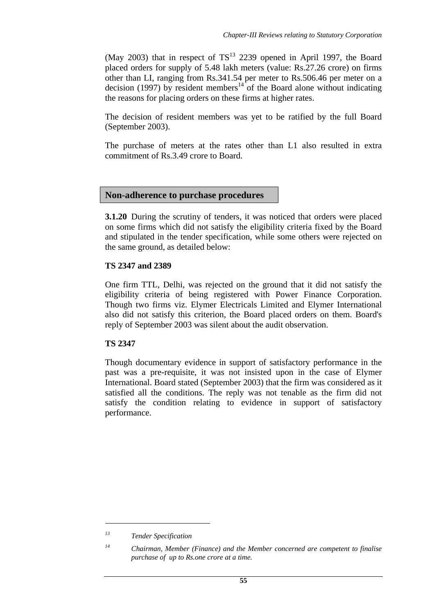(May 2003) that in respect of  $TS<sup>13</sup>$  2239 opened in April 1997, the Board placed orders for supply of 5.48 lakh meters (value: Rs.27.26 crore) on firms other than LI, ranging from Rs.341.54 per meter to Rs.506.46 per meter on a decision (1997) by resident members<sup>14</sup> of the Board alone without indicating the reasons for placing orders on these firms at higher rates.

The decision of resident members was yet to be ratified by the full Board (September 2003).

The purchase of meters at the rates other than L1 also resulted in extra commitment of Rs.3.49 crore to Board.

#### **Non-adherence to purchase procedures**

**3.1.20** During the scrutiny of tenders, it was noticed that orders were placed on some firms which did not satisfy the eligibility criteria fixed by the Board and stipulated in the tender specification, while some others were rejected on the same ground, as detailed below:

#### **TS 2347 and 2389**

One firm TTL, Delhi, was rejected on the ground that it did not satisfy the eligibility criteria of being registered with Power Finance Corporation. Though two firms viz. Elymer Electricals Limited and Elymer International also did not satisfy this criterion, the Board placed orders on them. Board's reply of September 2003 was silent about the audit observation.

#### **TS 2347**

Though documentary evidence in support of satisfactory performance in the past was a pre-requisite, it was not insisted upon in the case of Elymer International. Board stated (September 2003) that the firm was considered as it satisfied all the conditions. The reply was not tenable as the firm did not satisfy the condition relating to evidence in support of satisfactory performance.

*<sup>13</sup> Tender Specification* 

*<sup>14</sup> Chairman, Member (Finance) and the Member concerned are competent to finalise purchase of up to Rs.one crore at a time.*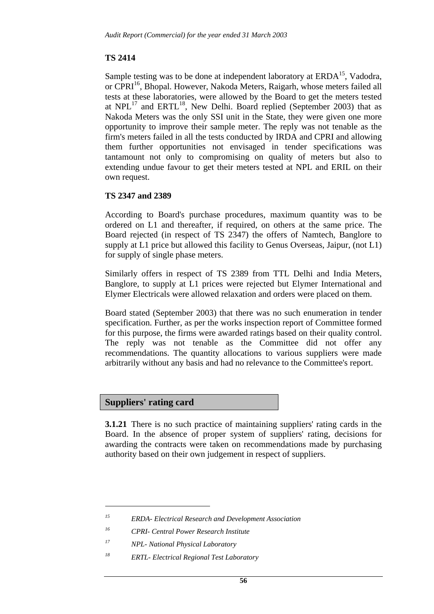# **TS 2414**

Sample testing was to be done at independent laboratory at  $ERDA<sup>15</sup>$ , Vadodra, or CPRI<sup>16</sup>, Bhopal. However, Nakoda Meters, Raigarh, whose meters failed all tests at these laboratories, were allowed by the Board to get the meters tested at  $NPL<sup>17</sup>$  and  $ERTL<sup>18</sup>$ , New Delhi. Board replied (September 2003) that as Nakoda Meters was the only SSI unit in the State, they were given one more opportunity to improve their sample meter. The reply was not tenable as the firm's meters failed in all the tests conducted by IRDA and CPRI and allowing them further opportunities not envisaged in tender specifications was tantamount not only to compromising on quality of meters but also to extending undue favour to get their meters tested at NPL and ERIL on their own request.

# **TS 2347 and 2389**

According to Board's purchase procedures, maximum quantity was to be ordered on L1 and thereafter, if required, on others at the same price. The Board rejected (in respect of TS 2347) the offers of Namtech, Banglore to supply at L1 price but allowed this facility to Genus Overseas, Jaipur, (not L1) for supply of single phase meters.

Similarly offers in respect of TS 2389 from TTL Delhi and India Meters, Banglore, to supply at L1 prices were rejected but Elymer International and Elymer Electricals were allowed relaxation and orders were placed on them.

Board stated (September 2003) that there was no such enumeration in tender specification. Further, as per the works inspection report of Committee formed for this purpose, the firms were awarded ratings based on their quality control. The reply was not tenable as the Committee did not offer any recommendations. The quantity allocations to various suppliers were made arbitrarily without any basis and had no relevance to the Committee's report.

#### **Suppliers' rating card**

 $\overline{a}$ 

**3.1.21** There is no such practice of maintaining suppliers' rating cards in the Board. In the absence of proper system of suppliers' rating, decisions for awarding the contracts were taken on recommendations made by purchasing authority based on their own judgement in respect of suppliers.

*<sup>15</sup> ERDA- Electrical Research and Development Association* 

*<sup>16</sup> CPRI- Central Power Research Institute* 

*<sup>17</sup> NPL- National Physical Laboratory* 

*<sup>18</sup> ERTL- Electrical Regional Test Laboratory*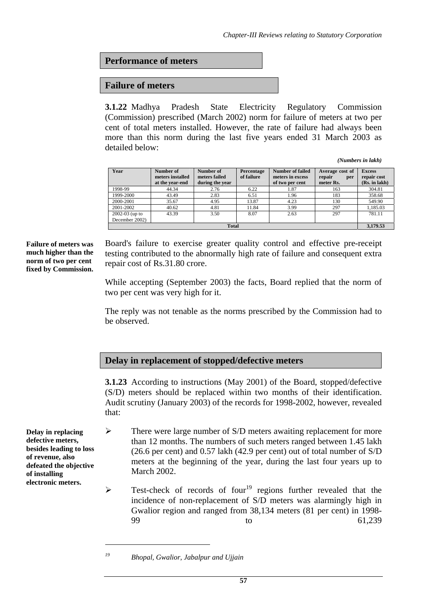# **Performance of meters Failure of meters**

**3.1.22** Madhya Pradesh State Electricity Regulatory Commission (Commission) prescribed (March 2002) norm for failure of meters at two per cent of total meters installed. However, the rate of failure had always been more than this norm during the last five years ended 31 March 2003 as detailed below:

*(Numbers in lakh)* 

| Year                                 | Number of<br>meters installed<br>at the year-end | Number of<br>meters failed<br>during the year | Percentage<br>of failure | <b>Number of failed</b><br>meters in excess<br>of two per cent | Average cost of<br>repair<br>per<br>meter Rs. | <b>Excess</b><br>repair cost<br>(Rs. in lakh) |
|--------------------------------------|--------------------------------------------------|-----------------------------------------------|--------------------------|----------------------------------------------------------------|-----------------------------------------------|-----------------------------------------------|
| 1998-99                              | 44.34                                            | 2.76                                          | 6.22                     | 1.87                                                           | 163                                           | 304.81                                        |
| 1999-2000                            | 43.49                                            | 2.83                                          | 6.51                     | 1.96                                                           | 183                                           | 358.68                                        |
| 2000-2001                            | 35.67                                            | 4.95                                          | 13.87                    | 4.23                                                           | 130                                           | 549.90                                        |
| 2001-2002                            | 40.62                                            | 4.81                                          | 11.84                    | 3.99                                                           | 297                                           | 1,185.03                                      |
| $2002 - 03$ (up to<br>December 2002) | 43.39                                            | 3.50                                          | 8.07                     | 2.63                                                           | 297                                           | 781.11                                        |
|                                      |                                                  | <b>Total</b>                                  |                          |                                                                |                                               | 3.179.53                                      |

Board's failure to exercise greater quality control and effective pre-receipt testing contributed to the abnormally high rate of failure and consequent extra repair cost of Rs.31.80 crore.

While accepting (September 2003) the facts, Board replied that the norm of two per cent was very high for it.

The reply was not tenable as the norms prescribed by the Commission had to be observed.

# **Delay in replacement of stopped/defective meters**

**3.1.23** According to instructions (May 2001) of the Board, stopped/defective (S/D) meters should be replaced within two months of their identification. Audit scrutiny (January 2003) of the records for 1998-2002, however, revealed that:

- $\triangleright$  There were large number of S/D meters awaiting replacement for more than 12 months. The numbers of such meters ranged between 1.45 lakh (26.6 per cent) and 0.57 lakh (42.9 per cent) out of total number of S/D meters at the beginning of the year, during the last four years up to March 2002.
- $\triangleright$  Test-check of records of four<sup>19</sup> regions further revealed that the incidence of non-replacement of S/D meters was alarmingly high in Gwalior region and ranged from 38,134 meters (81 per cent) in 1998- 99 to 61,239

**Failure of meters was much higher than the norm of two per cent fixed by Commission.** 

**Delay in replacing defective meters, besides leading to loss of revenue, also defeated the objective of installing electronic meters.** 

*<sup>19</sup> Bhopal, Gwalior, Jabalpur and Ujjain*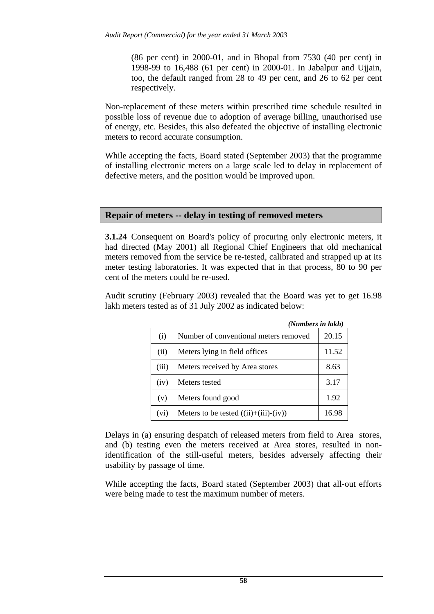(86 per cent) in 2000-01, and in Bhopal from 7530 (40 per cent) in 1998-99 to 16,488 (61 per cent) in 2000-01. In Jabalpur and Ujjain, too, the default ranged from 28 to 49 per cent, and 26 to 62 per cent respectively.

Non-replacement of these meters within prescribed time schedule resulted in possible loss of revenue due to adoption of average billing, unauthorised use of energy, etc. Besides, this also defeated the objective of installing electronic meters to record accurate consumption.

While accepting the facts, Board stated (September 2003) that the programme of installing electronic meters on a large scale led to delay in replacement of defective meters, and the position would be improved upon.

#### **Repair of meters -- delay in testing of removed meters**

**3.1.24** Consequent on Board's policy of procuring only electronic meters, it had directed (May 2001) all Regional Chief Engineers that old mechanical meters removed from the service be re-tested, calibrated and strapped up at its meter testing laboratories. It was expected that in that process, 80 to 90 per cent of the meters could be re-used.

Audit scrutiny (February 2003) revealed that the Board was yet to get 16.98 lakh meters tested as of 31 July 2002 as indicated below:

|                   | (Numbers in lakh)                      |       |
|-------------------|----------------------------------------|-------|
| (i)               | Number of conventional meters removed  | 20.15 |
| (ii)              | Meters lying in field offices          | 11.52 |
| (111)             | Meters received by Area stores         | 8.63  |
| (iv)              | Meters tested                          | 3.17  |
| (v)               | Meters found good                      | 1.92  |
| (v <sub>1</sub> ) | Meters to be tested $(iii)+(iii)-(iv)$ | 16.98 |

Delays in (a) ensuring despatch of released meters from field to Area stores, and (b) testing even the meters received at Area stores, resulted in nonidentification of the still-useful meters, besides adversely affecting their usability by passage of time.

While accepting the facts, Board stated (September 2003) that all-out efforts were being made to test the maximum number of meters.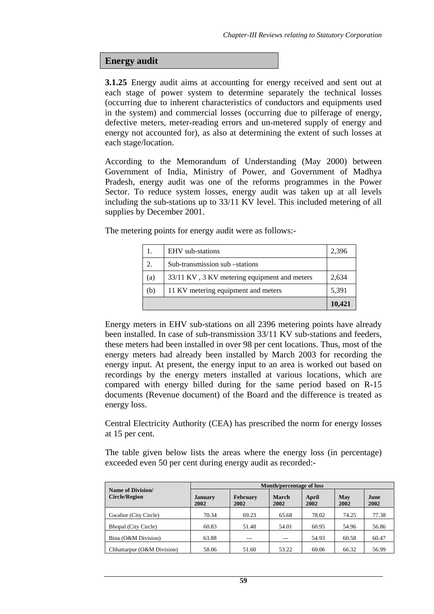#### **Energy audit**

**3.1.25** Energy audit aims at accounting for energy received and sent out at each stage of power system to determine separately the technical losses (occurring due to inherent characteristics of conductors and equipments used in the system) and commercial losses (occurring due to pilferage of energy, defective meters, meter-reading errors and un-metered supply of energy and energy not accounted for), as also at determining the extent of such losses at each stage/location.

According to the Memorandum of Understanding (May 2000) between Government of India, Ministry of Power, and Government of Madhya Pradesh, energy audit was one of the reforms programmes in the Power Sector. To reduce system losses, energy audit was taken up at all levels including the sub-stations up to 33/11 KV level. This included metering of all supplies by December 2001.

The metering points for energy audit were as follows:-

|     |                                              | 10,421 |
|-----|----------------------------------------------|--------|
| (b) | 11 KV metering equipment and meters          | 5,391  |
| (a) | 33/11 KV, 3 KV metering equipment and meters | 2,634  |
| 2.  | Sub-transmission sub –stations               |        |
|     | EHV sub-stations                             | 2,396  |

Energy meters in EHV sub-stations on all 2396 metering points have already been installed. In case of sub-transmission 33/11 KV sub-stations and feeders, these meters had been installed in over 98 per cent locations. Thus, most of the energy meters had already been installed by March 2003 for recording the energy input. At present, the energy input to an area is worked out based on recordings by the energy meters installed at various locations, which are compared with energy billed during for the same period based on R-15 documents (Revenue document) of the Board and the difference is treated as energy loss.

Central Electricity Authority (CEA) has prescribed the norm for energy losses at 15 per cent.

The table given below lists the areas where the energy loss (in percentage) exceeded even 50 per cent during energy audit as recorded:-

|                                           | <b>Month/percentage of loss</b> |                         |               |               |             |               |  |  |
|-------------------------------------------|---------------------------------|-------------------------|---------------|---------------|-------------|---------------|--|--|
| Name of Division/<br><b>Circle/Region</b> | <b>January</b><br>2002          | <b>February</b><br>2002 | March<br>2002 | April<br>2002 | May<br>2002 | June.<br>2002 |  |  |
| Gwalior (City Circle)                     | 70.34                           | 69.23                   | 65.68         | 78.02         | 74.25       | 77.38         |  |  |
| <b>Bhopal</b> (City Circle)               | 60.83                           | 51.48                   | 54.01         | 60.95         | 54.96       | 56.86         |  |  |
| Bina (O&M Division)                       | 63.88                           |                         |               | 54.93         | 60.58       | 60.47         |  |  |
| Chhattarpur (O&M Division)                | 58.06                           | 51.60                   | 53.22         | 60.06         | 66.32       | 56.99         |  |  |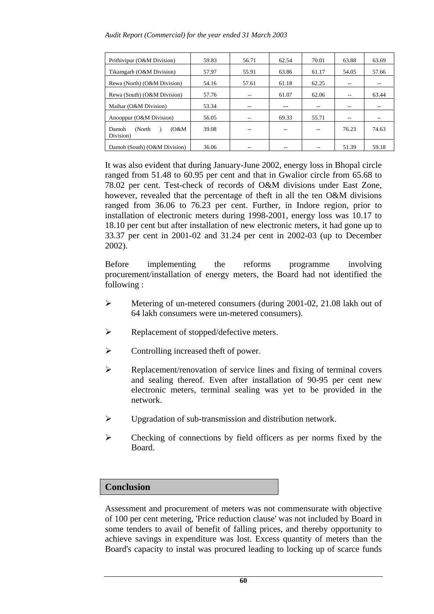| Prithivipur (O&M Division)            | 59.83 | 56.71 | 62.54   | 70.01 | 63.88 | 63.69 |
|---------------------------------------|-------|-------|---------|-------|-------|-------|
| Tikamgarh (O&M Division)              | 57.97 | 55.91 | 63.86   | 61.17 | 54.05 | 57.66 |
| Rewa (North) (O&M Division)           | 54.16 | 57.61 | 61.18   | 62.25 | --    |       |
| Rewa (South) (O&M Division)           | 57.76 | --    | 61.07   | 62.06 | --    | 63.44 |
| Maihar (O&M Division)                 | 53.34 |       | $- - -$ | --    | --    |       |
| Anooppur (O&M Division)               | 56.05 |       | 69.33   | 55.71 | --    |       |
| (North)<br>(O&M<br>Damoh<br>Division) | 39.08 |       |         | --    | 76.23 | 74.63 |
| Damoh (South) (O&M Division)          | 36.06 |       |         |       | 51.39 | 59.18 |

It was also evident that during January-June 2002, energy loss in Bhopal circle ranged from 51.48 to 60.95 per cent and that in Gwalior circle from 65.68 to 78.02 per cent. Test-check of records of O&M divisions under East Zone, however, revealed that the percentage of theft in all the ten O&M divisions ranged from 36.06 to 76.23 per cent. Further, in Indore region, prior to installation of electronic meters during 1998-2001, energy loss was 10.17 to 18.10 per cent but after installation of new electronic meters, it had gone up to 33.37 per cent in 2001-02 and 31.24 per cent in 2002-03 (up to December 2002).

Before implementing the reforms programme involving procurement/installation of energy meters, the Board had not identified the following :

- $\blacktriangleright$  Metering of un-metered consumers (during 2001-02, 21.08 lakh out of 64 lakh consumers were un-metered consumers).
- $\triangleright$  Replacement of stopped/defective meters.
- $\triangleright$  Controlling increased theft of power.
- $\triangleright$  Replacement/renovation of service lines and fixing of terminal covers and sealing thereof. Even after installation of 90-95 per cent new electronic meters, terminal sealing was yet to be provided in the network.
- $\triangleright$  Upgradation of sub-transmission and distribution network.
- $\triangleright$  Checking of connections by field officers as per norms fixed by the Board.

# **Conclusion**

Assessment and procurement of meters was not commensurate with objective of 100 per cent metering, 'Price reduction clause' was not included by Board in some tenders to avail of benefit of falling prices, and thereby opportunity to achieve savings in expenditure was lost. Excess quantity of meters than the Board's capacity to instal was procured leading to locking up of scarce funds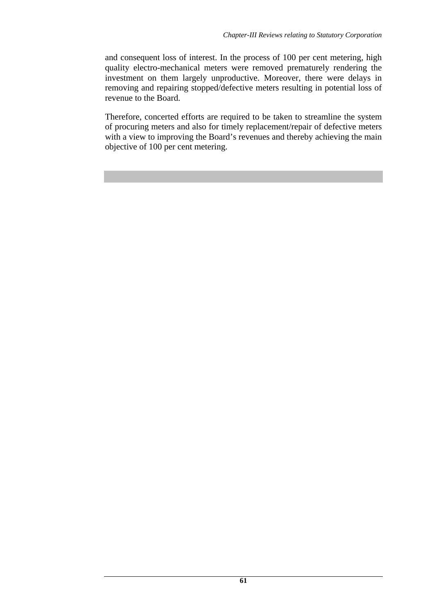and consequent loss of interest. In the process of 100 per cent metering, high quality electro-mechanical meters were removed prematurely rendering the investment on them largely unproductive. Moreover, there were delays in removing and repairing stopped/defective meters resulting in potential loss of revenue to the Board.

Therefore, concerted efforts are required to be taken to streamline the system of procuring meters and also for timely replacement/repair of defective meters with a view to improving the Board's revenues and thereby achieving the main objective of 100 per cent metering.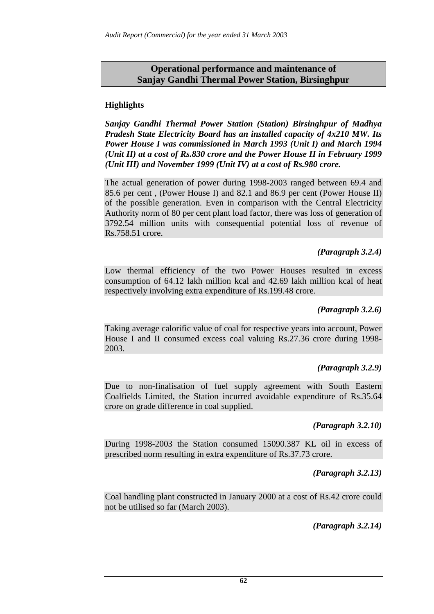# **Operational performance and maintenance of Sanjay Gandhi Thermal Power Station, Birsinghpur**

# **Highlights**

*Sanjay Gandhi Thermal Power Station (Station) Birsinghpur of Madhya Pradesh State Electricity Board has an installed capacity of 4x210 MW. Its Power House I was commissioned in March 1993 (Unit I) and March 1994 (Unit II) at a cost of Rs.830 crore and the Power House II in February 1999 (Unit III) and November 1999 (Unit IV) at a cost of Rs.980 crore.* 

The actual generation of power during 1998-2003 ranged between 69.4 and 85.6 per cent , (Power House I) and 82.1 and 86.9 per cent (Power House II) of the possible generation. Even in comparison with the Central Electricity Authority norm of 80 per cent plant load factor, there was loss of generation of 3792.54 million units with consequential potential loss of revenue of Rs.758.51 crore.

# *(Paragraph 3.2.4)*

Low thermal efficiency of the two Power Houses resulted in excess consumption of 64.12 lakh million kcal and 42.69 lakh million kcal of heat respectively involving extra expenditure of Rs.199.48 crore.

# *(Paragraph 3.2.6)*

Taking average calorific value of coal for respective years into account, Power House I and II consumed excess coal valuing Rs.27.36 crore during 1998- 2003.

# *(Paragraph 3.2.9)*

Due to non-finalisation of fuel supply agreement with South Eastern Coalfields Limited, the Station incurred avoidable expenditure of Rs.35.64 crore on grade difference in coal supplied.

# *(Paragraph 3.2.10)*

During 1998-2003 the Station consumed 15090.387 KL oil in excess of prescribed norm resulting in extra expenditure of Rs.37.73 crore.

# *(Paragraph 3.2.13)*

Coal handling plant constructed in January 2000 at a cost of Rs.42 crore could not be utilised so far (March 2003).

# *(Paragraph 3.2.14)*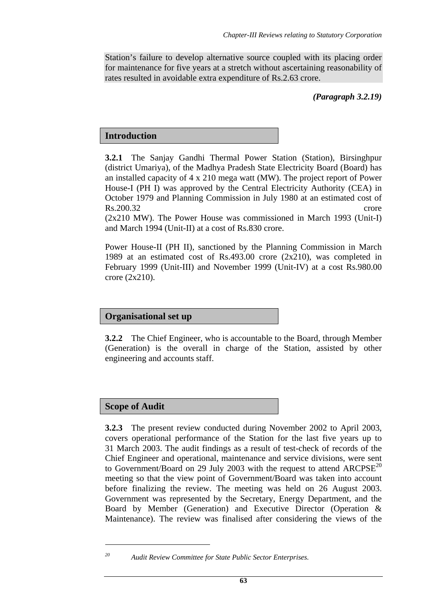Station's failure to develop alternative source coupled with its placing order for maintenance for five years at a stretch without ascertaining reasonability of rates resulted in avoidable extra expenditure of Rs.2.63 crore.

*(Paragraph 3.2.19)* 

# **Introduction**

**3.2.1** The Sanjay Gandhi Thermal Power Station (Station), Birsinghpur (district Umariya), of the Madhya Pradesh State Electricity Board (Board) has an installed capacity of 4 x 210 mega watt (MW). The project report of Power House-I (PH I) was approved by the Central Electricity Authority (CEA) in October 1979 and Planning Commission in July 1980 at an estimated cost of Rs.200.32 crore

(2x210 MW). The Power House was commissioned in March 1993 (Unit-I) and March 1994 (Unit-II) at a cost of Rs.830 crore.

Power House-II (PH II), sanctioned by the Planning Commission in March 1989 at an estimated cost of Rs.493.00 crore (2x210), was completed in February 1999 (Unit-III) and November 1999 (Unit-IV) at a cost Rs.980.00 crore (2x210).

# **Organisational set up**

**3.2.2** The Chief Engineer, who is accountable to the Board, through Member (Generation) is the overall in charge of the Station, assisted by other engineering and accounts staff.

# **Scope of Audit**

**3.2.3** The present review conducted during November 2002 to April 2003, covers operational performance of the Station for the last five years up to 31 March 2003. The audit findings as a result of test-check of records of the Chief Engineer and operational, maintenance and service divisions, were sent to Government/Board on 29 July 2003 with the request to attend  $ARCPSE^{20}$ meeting so that the view point of Government/Board was taken into account before finalizing the review. The meeting was held on 26 August 2003. Government was represented by the Secretary, Energy Department, and the Board by Member (Generation) and Executive Director (Operation & Maintenance). The review was finalised after considering the views of the

*<sup>20</sup> Audit Review Committee for State Public Sector Enterprises.*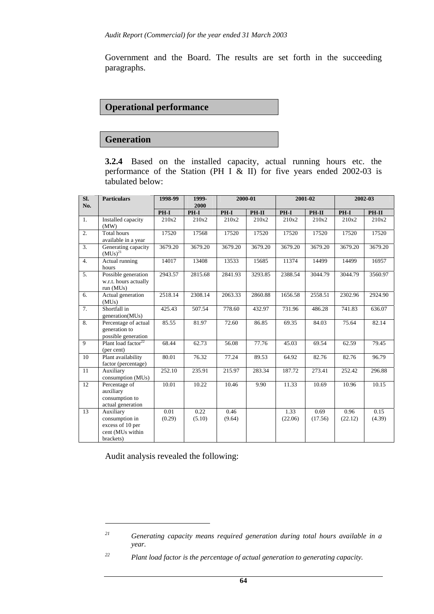Government and the Board. The results are set forth in the succeeding paragraphs.

#### **Operational performance**

#### **Generation**

**3.2.4** Based on the installed capacity, actual running hours etc. the performance of the Station (PH I  $&$  II) for five years ended 2002-03 is tabulated below:

| SI.<br>No.       | <b>Particulars</b>                                                               | 1998-99        | 1999-<br>2000-01<br>2001-02<br>2002-03<br>2000 |                |         |                 |                 |                 |                |
|------------------|----------------------------------------------------------------------------------|----------------|------------------------------------------------|----------------|---------|-----------------|-----------------|-----------------|----------------|
|                  |                                                                                  | PH-I           | PH-I                                           | PH-I           | PH-II   | PH-I            | PH-II           | PH-I            | PH-II          |
| 1.               | Installed capacity<br>(MW)                                                       | 210x2          | 210x2                                          | 210x2          | 210x2   | 210x2           | 210x2           | 210x2           | 210x2          |
| $\overline{2}$ . | <b>Total hours</b><br>available in a year                                        | 17520          | 17568                                          | 17520          | 17520   | 17520           | 17520           | 17520           | 17520          |
| 3.               | Generating capacity<br>$(MUs)^{21}$                                              | 3679.20        | 3679.20                                        | 3679.20        | 3679.20 | 3679.20         | 3679.20         | 3679.20         | 3679.20        |
| 4.               | Actual running<br>hours                                                          | 14017          | 13408                                          | 13533          | 15685   | 11374           | 14499           | 14499           | 16957          |
| 5.               | Possible generation<br>w.r.t. hours actually<br>run (MUs)                        | 2943.57        | 2815.68                                        | 2841.93        | 3293.85 | 2388.54         | 3044.79         | 3044.79         | 3560.97        |
| 6.               | Actual generation<br>(MUs)                                                       | 2518.14        | 2308.14                                        | 2063.33        | 2860.88 | 1656.58         | 2558.51         | 2302.96         | 2924.90        |
| 7.               | Shortfall in<br>generation(MUs)                                                  | 425.43         | 507.54                                         | 778.60         | 432.97  | 731.96          | 486.28          | 741.83          | 636.07         |
| 8.               | Percentage of actual<br>generation to<br>possible generation                     | 85.55          | 81.97                                          | 72.60          | 86.85   | 69.35           | 84.03           | 75.64           | 82.14          |
| $\mathbf{Q}$     | Plant load factor $^{22}$<br>(per cent)                                          | 68.44          | 62.73                                          | 56.08          | 77.76   | 45.03           | 69.54           | 62.59           | 79.45          |
| 10               | Plant availability<br>factor (percentage)                                        | 80.01          | 76.32                                          | 77.24          | 89.53   | 64.92           | 82.76           | 82.76           | 96.79          |
| 11               | Auxiliary<br>consumption (MUs)                                                   | 252.10         | 235.91                                         | 215.97         | 283.34  | 187.72          | 273.41          | 252.42          | 296.88         |
| 12               | Percentage of<br>auxiliary<br>consumption to<br>actual generation                | 10.01          | 10.22                                          | 10.46          | 9.90    | 11.33           | 10.69           | 10.96           | 10.15          |
| 13               | Auxiliary<br>consumption in<br>excess of 10 per<br>cent (MUs within<br>brackets) | 0.01<br>(0.29) | 0.22<br>(5.10)                                 | 0.46<br>(9.64) |         | 1.33<br>(22.06) | 0.69<br>(17.56) | 0.96<br>(22.12) | 0.15<br>(4.39) |

Audit analysis revealed the following:

*<sup>21</sup> Generating capacity means required generation during total hours available in a year.* 

*<sup>22</sup> Plant load factor is the percentage of actual generation to generating capacity.*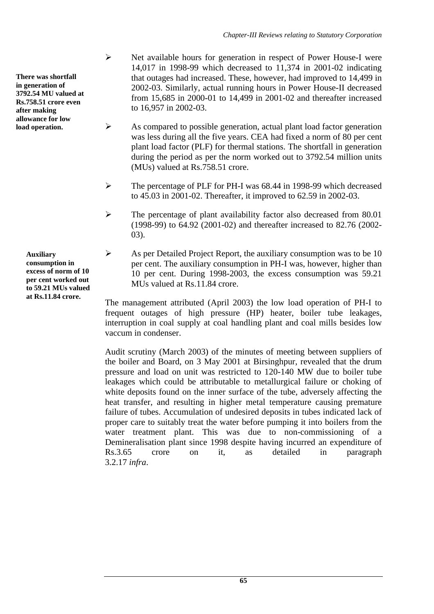**There was shortfall in generation of 3792.54 MU valued at Rs.758.51 crore even after making allowance for low load operation.** 

> **Auxiliary consumption in excess of norm of 10 per cent worked out to 59.21 MUs valued at Rs.11.84 crore.**

- ! Net available hours for generation in respect of Power House-I were 14,017 in 1998-99 which decreased to 11,374 in 2001-02 indicating that outages had increased. These, however, had improved to 14,499 in 2002-03. Similarly, actual running hours in Power House-II decreased from 15,685 in 2000-01 to 14,499 in 2001-02 and thereafter increased to 16,957 in 2002-03.
- $\triangleright$  As compared to possible generation, actual plant load factor generation was less during all the five years. CEA had fixed a norm of 80 per cent plant load factor (PLF) for thermal stations. The shortfall in generation during the period as per the norm worked out to 3792.54 million units (MUs) valued at Rs.758.51 crore.
- ! The percentage of PLF for PH-I was 68.44 in 1998-99 which decreased to 45.03 in 2001-02. Thereafter, it improved to 62.59 in 2002-03.
- $\triangleright$  The percentage of plant availability factor also decreased from 80.01 (1998-99) to 64.92 (2001-02) and thereafter increased to 82.76 (2002- 03).
- $\triangleright$  As per Detailed Project Report, the auxiliary consumption was to be 10 per cent. The auxiliary consumption in PH-I was, however, higher than 10 per cent. During 1998-2003, the excess consumption was 59.21 MUs valued at Rs.11.84 crore.

The management attributed (April 2003) the low load operation of PH-I to frequent outages of high pressure (HP) heater, boiler tube leakages, interruption in coal supply at coal handling plant and coal mills besides low vaccum in condenser.

Audit scrutiny (March 2003) of the minutes of meeting between suppliers of the boiler and Board, on 3 May 2001 at Birsinghpur, revealed that the drum pressure and load on unit was restricted to 120-140 MW due to boiler tube leakages which could be attributable to metallurgical failure or choking of white deposits found on the inner surface of the tube, adversely affecting the heat transfer, and resulting in higher metal temperature causing premature failure of tubes. Accumulation of undesired deposits in tubes indicated lack of proper care to suitably treat the water before pumping it into boilers from the water treatment plant. This was due to non-commissioning of a Demineralisation plant since 1998 despite having incurred an expenditure of Rs.3.65 crore on it, as detailed in paragraph 3.2.17 *infra*.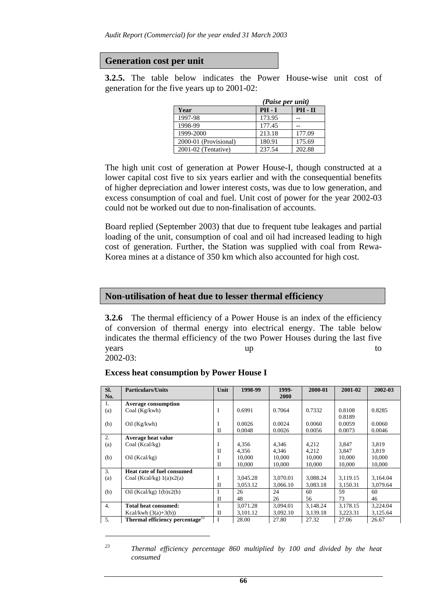#### **Generation cost per unit**

**3.2.5.** The table below indicates the Power House-wise unit cost of generation for the five years up to 2001-02:

|                       | (Paise per unit) |           |
|-----------------------|------------------|-----------|
| Year                  | $PH-I$           | $PH - II$ |
| 1997-98               | 173.95           |           |
| 1998-99               | 177.45           |           |
| 1999-2000             | 213.18           | 177.09    |
| 2000-01 (Provisional) | 180.91           | 175.69    |
| $2001-02$ (Tentative) | 237.54           | 202.88    |

The high unit cost of generation at Power House-I, though constructed at a lower capital cost five to six years earlier and with the consequential benefits of higher depreciation and lower interest costs, was due to low generation, and excess consumption of coal and fuel. Unit cost of power for the year 2002-03 could not be worked out due to non-finalisation of accounts.

Board replied (September 2003) that due to frequent tube leakages and partial loading of the unit, consumption of coal and oil had increased leading to high cost of generation. Further, the Station was supplied with coal from Rewa-Korea mines at a distance of 350 km which also accounted for high cost.

#### **Non-utilisation of heat due to lesser thermal efficiency**

**3.2.6** The thermal efficiency of a Power House is an index of the efficiency of conversion of thermal energy into electrical energy. The table below indicates the thermal efficiency of the two Power Houses during the last five years up to to the contract of the contract of the contract of the contract of the contract of the contract of the contract of the contract of the contract of the contract of the contract of the contract of the contract of 2002-03:

| SI. | <b>Particulars/Units</b>                    | Unit         | 1998-99  | 1999-    | 2000-01  | 2001-02  | 2002-03  |
|-----|---------------------------------------------|--------------|----------|----------|----------|----------|----------|
| No. |                                             |              |          | 2000     |          |          |          |
| 1.  | <b>Average consumption</b>                  |              |          |          |          |          |          |
| (a) | Coal $(Kg/kwh)$                             | I            | 0.6991   | 0.7064   | 0.7332   | 0.8108   | 0.8285   |
|     |                                             |              |          |          |          | 0.8189   |          |
| (b) | Oil (Kg/kwh)                                | I            | 0.0026   | 0.0024   | 0.0060   | 0.0059   | 0.0060   |
|     |                                             | $\mathbf{I}$ | 0.0048   | 0.0026   | 0.0056   | 0.0073   | 0.0046   |
| 2.  | Average heat value                          |              |          |          |          |          |          |
| (a) | Coal $(Kcal/kg)$                            | I            | 4,356    | 4,346    | 4,212    | 3,847    | 3,819    |
|     |                                             | $_{\rm II}$  | 4.356    | 4,346    | 4,212    | 3,847    | 3,819    |
| (b) | Oil (Kcal/kg)                               |              | 10,000   | 10,000   | 10,000   | 10,000   | 10.000   |
|     |                                             | $_{\rm II}$  | 10,000   | 10,000   | 10,000   | 10,000   | 10,000   |
| 3.  | <b>Heat rate of fuel consumed</b>           |              |          |          |          |          |          |
| (a) | Coal (Kcal/kg) $1(a)x2(a)$                  | I            | 3,045.28 | 3.070.01 | 3.088.24 | 3.119.15 | 3.164.04 |
|     |                                             | $_{\rm II}$  | 3.053.12 | 3.066.10 | 3.083.18 | 3,150.31 | 3.079.64 |
| (b) | Oil (Kcal/kg) $1(b)x2(b)$                   | I            | 26       | 24       | 60       | 59       | 60       |
|     |                                             | $_{\rm II}$  | 48       | 26       | 56       | 73       | 46       |
| 4.  | <b>Total heat consumed:</b>                 | I            | 3,071.28 | 3,094.01 | 3,148.24 | 3,178.15 | 3,224.04 |
|     | Kcal/kwh $(3(a)+3(b))$                      | H            | 3,101.12 | 3,092.10 | 3,139.18 | 3,223.31 | 3,125.64 |
| 5.  | Thermal efficiency percentage <sup>23</sup> | I            | 28.00    | 27.80    | 27.32    | 27.06    | 26.67    |

**Excess heat consumption by Power House I** 

*<sup>23</sup> Thermal efficiency percentage 860 multiplied by 100 and divided by the heat consumed*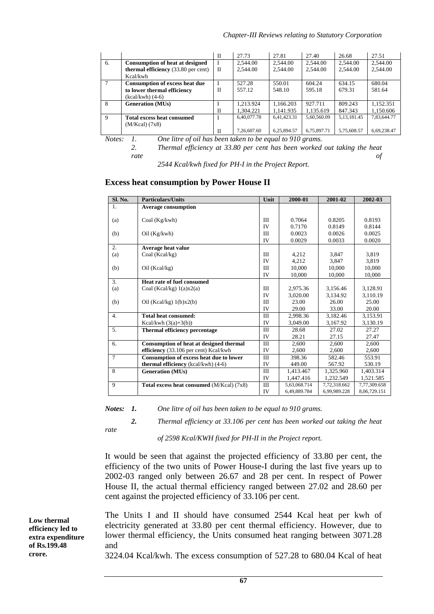|              |                                            | Н           | 27.73       | 27.81       | 27.40       | 26.68          | 27.51       |
|--------------|--------------------------------------------|-------------|-------------|-------------|-------------|----------------|-------------|
| 6.           | <b>Consumption of heat at designed</b>     |             | 2.544.00    | 2.544.00    | 2.544.00    | 2,544.00       | 2,544.00    |
|              | <b>thermal efficiency</b> (33.80 per cent) | П           | 2,544.00    | 2,544.00    | 2.544.00    | 2.544.00       | 2,544.00    |
|              | Kcal/kwh                                   |             |             |             |             |                |             |
| $\tau$       | <b>Consumption of excess heat due</b>      |             | 527.28      | 550.01      | 604.24      | 634.15         | 680.04      |
|              | to lower thermal efficiency                | $_{\rm II}$ | 557.12      | 548.10      | 595.18      | 679.31         | 581.64      |
|              | $(kcal/kwh)$ (4-6)                         |             |             |             |             |                |             |
| -8           | <b>Generation (MUs)</b>                    |             | 1.213.924   | 1.166.203   | 927.711     | 809.243        | 1,152.351   |
|              |                                            | $_{\rm II}$ | 1.304.221   | 1.141.935   | 1.135.619   | 847.343        | 1.150.606   |
| $\mathbf{Q}$ | <b>Total excess heat consumed</b>          |             | 6.40.077.78 | 6.41.423.31 | 5.60,560.09 | 5, 13, 181. 45 | 7,83,644.77 |
|              | $(M/Kcal)$ (7x8)                           |             |             |             |             |                |             |
|              |                                            | $_{\rm II}$ | 7,26,607.60 | 6,25,894.57 | 6.75.897.71 | 5.75.608.57    | 6,69,238.47 |

*Notes: 1. One litre of oil has been taken to be equal to 910 grams.* 

 *2. Thermal efficiency at 33.80 per cent has been worked out taking the heat rate of* 

 *2544 Kcal/kwh fixed for PH-I in the Project Report.* 

#### **Excess heat consumption by Power House II**

| Sl. No.          | <b>Particulars/Units</b>                   | Unit      | 2000-01      | 2001-02      | 2002-03      |
|------------------|--------------------------------------------|-----------|--------------|--------------|--------------|
| 1.               | <b>Average consumption</b>                 |           |              |              |              |
|                  |                                            |           |              |              |              |
| (a)              | Coal $(Kg/kwh)$                            | Ш         | 0.7064       | 0.8205       | 0.8193       |
|                  |                                            | IV        | 0.7170       | 0.8149       | 0.8144       |
| (b)              | Oil (Kg/kwh)                               | IΠ        | 0.0023       | 0.0026       | 0.0025       |
|                  |                                            | IV        | 0.0029       | 0.0033       | 0.0020       |
| 2.               | Average heat value                         |           |              |              |              |
| (a)              | Coal $(Kcal/kg)$                           | IΠ        | 4,212        | 3.847        | 3.819        |
|                  |                                            | IV        | 4,212        | 3,847        | 3,819        |
| (b)              | Oil (Kcal/kg)                              | IΠ        | 10.000       | 10.000       | 10,000       |
|                  |                                            | IV        | 10.000       | 10.000       | 10.000       |
| 3.               | Heat rate of fuel consumed                 |           |              |              |              |
| (a)              | Coal (Kcal/kg) $1(a)x2(a)$                 | Ш         | 2,975.36     | 3,156.46     | 3,128.91     |
|                  |                                            | IV        | 3,020.00     | 3,134.92     | 3,110.19     |
| (b)              | Oil (Kcal/kg) $1(b)x2(b)$                  | Ш         | 23.00        | 26.00        | 25.00        |
|                  |                                            | <b>IV</b> | 29.00        | 33.00        | 20.00        |
| $\overline{4}$ . | <b>Total heat consumed:</b>                | IΠ        | 2,998.36     | 3,182.46     | 3,153.91     |
|                  | Kcal/kwh $(3(a)+3(b))$                     | IV        | 3,049.00     | 3,167.92     | 3,130.19     |
| 5.               | Thermal efficiency percentage              | IΙI       | 28.68        | 27.02        | 27.27        |
|                  |                                            | IV        | 28.21        | 27.15        | 27.47        |
| 6.               | Consumption of heat at designed thermal    | Ш         | 2.600        | 2.600        | 2.600        |
|                  | efficiency (33.106 per cent) Kcal/kwh      | IV        | 2,600        | 2,600        | 2,600        |
| $\tau$           | Consumption of excess heat due to lower    | Ш         | 398.36       | 582.46       | 553.91       |
|                  | <b>thermal efficiency</b> (kcal/kwh) (4-6) | IV        | 449.00       | 567.92       | 530.19       |
| 8                | <b>Generation</b> (MUs)                    | III       | 1,413.467    | 1,325.960    | 1,403.314    |
|                  |                                            | IV        | 1,447.416    | 1.232.549    | 1,521.585    |
| 9                | Total excess heat consumed (M/Kcal) (7x8)  | Ш         | 5,63,068.714 | 7,72,318.662 | 7,77,309.658 |
|                  |                                            | IV        | 6,49,889.784 | 6,99,989.228 | 8,06,729.151 |

*Notes: 1. One litre of oil has been taken to be equal to 910 grams.* 

*2. Thermal efficiency at 33.106 per cent has been worked out taking the heat* 

 *of 2598 Kcal/KWH fixed for PH-II in the Project report.* 

It would be seen that against the projected efficiency of 33.80 per cent, the efficiency of the two units of Power House-I during the last five years up to 2002-03 ranged only between 26.67 and 28 per cent. In respect of Power House II, the actual thermal efficiency ranged between 27.02 and 28.60 per cent against the projected efficiency of 33.106 per cent.

The Units I and II should have consumed 2544 Kcal heat per kwh of electricity generated at 33.80 per cent thermal efficiency. However, due to lower thermal efficiency, the Units consumed heat ranging between 3071.28 and

**Low thermal efficiency led to extra expenditure of Rs.199.48 crore.** 

*rate* 

3224.04 Kcal/kwh. The excess consumption of 527.28 to 680.04 Kcal of heat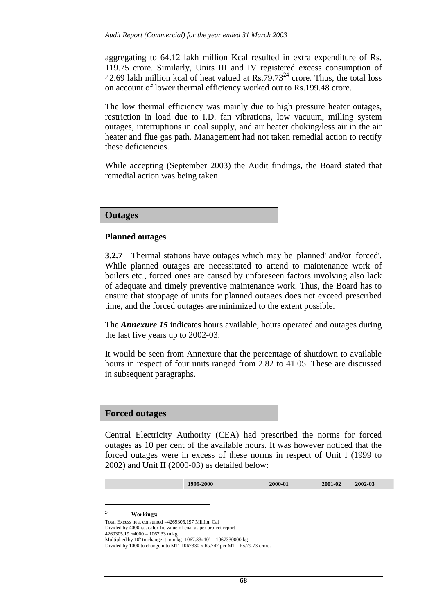aggregating to 64.12 lakh million Kcal resulted in extra expenditure of Rs. 119.75 crore. Similarly, Units III and IV registered excess consumption of 42.69 lakh million kcal of heat valued at  $\text{Rs.79.73}^{24}$  crore. Thus, the total loss on account of lower thermal efficiency worked out to Rs.199.48 crore.

The low thermal efficiency was mainly due to high pressure heater outages, restriction in load due to I.D. fan vibrations, low vacuum, milling system outages, interruptions in coal supply, and air heater choking/less air in the air heater and flue gas path. Management had not taken remedial action to rectify these deficiencies.

While accepting (September 2003) the Audit findings, the Board stated that remedial action was being taken.

# **Outages**

#### **Planned outages**

**3.2.7** Thermal stations have outages which may be 'planned' and/or 'forced'. While planned outages are necessitated to attend to maintenance work of boilers etc., forced ones are caused by unforeseen factors involving also lack of adequate and timely preventive maintenance work. Thus, the Board has to ensure that stoppage of units for planned outages does not exceed prescribed time, and the forced outages are minimized to the extent possible.

The *Annexure 15* indicates hours available, hours operated and outages during the last five years up to 2002-03:

It would be seen from Annexure that the percentage of shutdown to available hours in respect of four units ranged from 2.82 to 41.05. These are discussed in subsequent paragraphs.

#### **Forced outages**

Central Electricity Authority (CEA) had prescribed the norms for forced outages as 10 per cent of the available hours. It was however noticed that the forced outages were in excess of these norms in respect of Unit I (1999 to 2002) and Unit II (2000-03) as detailed below:

|  | 1999-2000 | 2000-01 | 2001-02 | 2002-03 |
|--|-----------|---------|---------|---------|
|  |           |         |         |         |

**24 Workings:** 

 $\overline{a}$ 

Total Excess heat consumed =4269305.197 Million Cal

Divided by 4000 i.e. calorific value of coal as per project report

 $4269305.19 \div 4000 = 1067.33 \text{ m kg}$ Multiplied by  $10^6$  to change it into kg= $1067.33 \times 10^6 = 1067330000$  kg

Divided by 1000 to change into MT=1067330 x Rs.747 per MT= Rs.79.73 crore.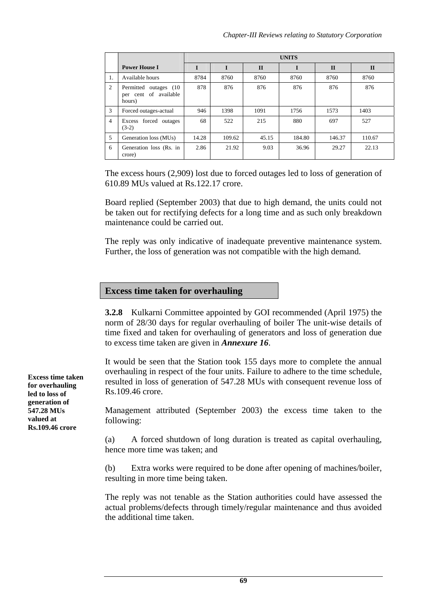|                |                                                           | <b>UNITS</b> |        |              |        |              |              |  |
|----------------|-----------------------------------------------------------|--------------|--------|--------------|--------|--------------|--------------|--|
|                | <b>Power House I</b>                                      |              | I      | $\mathbf{H}$ |        | $\mathbf{H}$ | $\mathbf{I}$ |  |
| 1.             | Available hours                                           | 8784         | 8760   | 8760         | 8760   | 8760         | 8760         |  |
| 2              | Permitted outages (10)<br>per cent of available<br>hours) | 878          | 876    | 876          | 876    | 876          | 876          |  |
| 3              | Forced outages-actual                                     | 946          | 1398   | 1091         | 1756   | 1573         | 1403         |  |
| $\overline{4}$ | Excess forced outages<br>$(3-2)$                          | 68           | 522    | 215          | 880    | 697          | 527          |  |
| $\overline{5}$ | Generation loss (MUs)                                     | 14.28        | 109.62 | 45.15        | 184.80 | 146.37       | 110.67       |  |
| 6              | Generation loss (Rs. in<br>crore)                         | 2.86         | 21.92  | 9.03         | 36.96  | 29.27        | 22.13        |  |

The excess hours (2,909) lost due to forced outages led to loss of generation of 610.89 MUs valued at Rs.122.17 crore.

Board replied (September 2003) that due to high demand, the units could not be taken out for rectifying defects for a long time and as such only breakdown maintenance could be carried out.

The reply was only indicative of inadequate preventive maintenance system. Further, the loss of generation was not compatible with the high demand.

# **Excess time taken for overhauling**

**3.2.8** Kulkarni Committee appointed by GOI recommended (April 1975) the norm of 28/30 days for regular overhauling of boiler The unit-wise details of time fixed and taken for overhauling of generators and loss of generation due to excess time taken are given in *Annexure 16*.

It would be seen that the Station took 155 days more to complete the annual overhauling in respect of the four units. Failure to adhere to the time schedule, resulted in loss of generation of 547.28 MUs with consequent revenue loss of Rs.109.46 crore.

Management attributed (September 2003) the excess time taken to the following:

(a) A forced shutdown of long duration is treated as capital overhauling, hence more time was taken; and

(b) Extra works were required to be done after opening of machines/boiler, resulting in more time being taken.

The reply was not tenable as the Station authorities could have assessed the actual problems/defects through timely/regular maintenance and thus avoided the additional time taken.

**Excess time taken for overhauling led to loss of generation of 547.28 MUs valued at Rs.109.46 crore**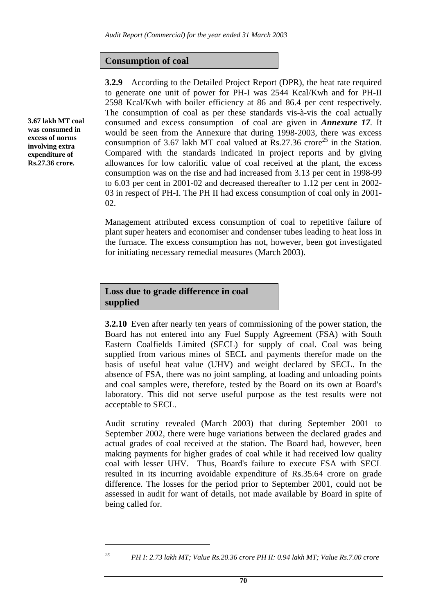#### **Consumption of coal**

**3.2.9** According to the Detailed Project Report (DPR), the heat rate required to generate one unit of power for PH-I was 2544 Kcal/Kwh and for PH-II 2598 Kcal/Kwh with boiler efficiency at 86 and 86.4 per cent respectively. The consumption of coal as per these standards vis-à-vis the coal actually consumed and excess consumption of coal are given in *Annexure 17*. It would be seen from the Annexure that during 1998-2003, there was excess consumption of 3.67 lakh MT coal valued at  $\text{Rs.27.36}$  crore<sup>25</sup> in the Station. Compared with the standards indicated in project reports and by giving allowances for low calorific value of coal received at the plant, the excess consumption was on the rise and had increased from 3.13 per cent in 1998-99 to 6.03 per cent in 2001-02 and decreased thereafter to 1.12 per cent in 2002- 03 in respect of PH-I. The PH II had excess consumption of coal only in 2001- 02.

Management attributed excess consumption of coal to repetitive failure of plant super heaters and economiser and condenser tubes leading to heat loss in the furnace. The excess consumption has not, however, been got investigated for initiating necessary remedial measures (March 2003).

# **Loss due to grade difference in coal supplied**

**3.2.10** Even after nearly ten years of commissioning of the power station, the Board has not entered into any Fuel Supply Agreement (FSA) with South Eastern Coalfields Limited (SECL) for supply of coal. Coal was being supplied from various mines of SECL and payments therefor made on the basis of useful heat value (UHV) and weight declared by SECL. In the absence of FSA, there was no joint sampling, at loading and unloading points and coal samples were, therefore, tested by the Board on its own at Board's laboratory. This did not serve useful purpose as the test results were not acceptable to SECL.

Audit scrutiny revealed (March 2003) that during September 2001 to September 2002, there were huge variations between the declared grades and actual grades of coal received at the station. The Board had, however, been making payments for higher grades of coal while it had received low quality coal with lesser UHV. Thus, Board's failure to execute FSA with SECL resulted in its incurring avoidable expenditure of Rs.35.64 crore on grade difference. The losses for the period prior to September 2001, could not be assessed in audit for want of details, not made available by Board in spite of being called for.

 $\overline{a}$ 

**3.67 lakh MT coal was consumed in excess of norms involving extra expenditure of Rs.27.36 crore.** 

*<sup>25</sup> PH I: 2.73 lakh MT; Value Rs.20.36 crore PH II: 0.94 lakh MT; Value Rs.7.00 crore*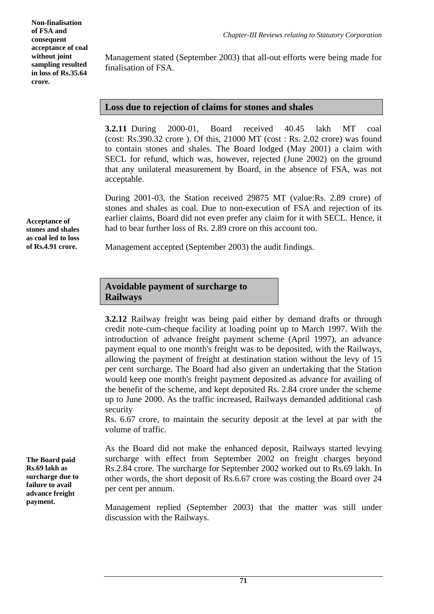Management stated (September 2003) that all-out efforts were being made for finalisation of FSA.

#### **Loss due to rejection of claims for stones and shales**

**3.2.11** During 2000-01, Board received 40.45 lakh MT coal (cost: Rs.390.32 crore ). Of this, 21000 MT (cost : Rs. 2.02 crore) was found to contain stones and shales. The Board lodged (May 2001) a claim with SECL for refund, which was, however, rejected (June 2002) on the ground that any unilateral measurement by Board, in the absence of FSA, was not acceptable.

During 2001-03, the Station received 29875 MT (value:Rs. 2.89 crore) of stones and shales as coal. Due to non-execution of FSA and rejection of its earlier claims, Board did not even prefer any claim for it with SECL. Hence, it had to bear further loss of Rs. 2.89 crore on this account too.

Management accepted (September 2003) the audit findings.

#### **Avoidable payment of surcharge to Railways**

**3.2.12** Railway freight was being paid either by demand drafts or through credit note-cum-cheque facility at loading point up to March 1997. With the introduction of advance freight payment scheme (April 1997), an advance payment equal to one month's freight was to be deposited, with the Railways, allowing the payment of freight at destination station without the levy of 15 per cent surcharge. The Board had also given an undertaking that the Station would keep one month's freight payment deposited as advance for availing of the benefit of the scheme, and kept deposited Rs. 2.84 crore under the scheme up to June 2000. As the traffic increased, Railways demanded additional cash security of

Rs. 6.67 crore, to maintain the security deposit at the level at par with the volume of traffic.

As the Board did not make the enhanced deposit, Railways started levying surcharge with effect from September 2002 on freight charges beyond Rs.2.84 crore. The surcharge for September 2002 worked out to Rs.69 lakh. In other words, the short deposit of Rs.6.67 crore was costing the Board over 24 per cent per annum.

Management replied (September 2003) that the matter was still under discussion with the Railways.

**Acceptance of stones and shales as coal led to loss of Rs.4.91 crore.** 

**The Board paid Rs.69 lakh as surcharge due to failure to avail advance freight payment.**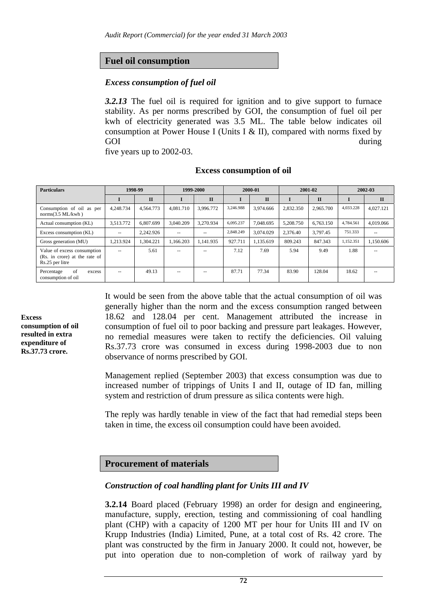#### **Fuel oil consumption**

#### *Excess consumption of fuel oil*

*3.2.13* The fuel oil is required for ignition and to give support to furnace stability. As per norms prescribed by GOI, the consumption of fuel oil per kwh of electricity generated was 3.5 ML. The table below indicates oil consumption at Power House I (Units I & II), compared with norms fixed by GOI during the during the contract of the contract of the contract of the contract of the contract of the contract of the contract of the contract of the contract of the contract of the contract of the contract of the cont

five years up to 2002-03.

#### **Excess consumption of oil**

| <b>Particulars</b>                                                              | 1998-99       |              | 1999-2000  |              | 2000-01   |              | 2001-02   |              | 2002-03   |              |
|---------------------------------------------------------------------------------|---------------|--------------|------------|--------------|-----------|--------------|-----------|--------------|-----------|--------------|
|                                                                                 |               | $\mathbf{I}$ |            | $\mathbf{I}$ |           | $\mathbf{I}$ |           | $\mathbf{I}$ |           | $\mathbf{I}$ |
| Consumption of oil as per<br>norms(3.5 ML/kwh)                                  | 4.248.734     | 4.564.773    | 4,081.710  | 3.996.772    | 3,246.988 | 3.974.666    | 2.832.350 | 2.965.700    | 4,033.228 | 4.027.121    |
| Actual consumption (KL)                                                         | 3.513.772     | 6,807.699    | 3.040.209  | 3.270.934    | 6,095.237 | 7.048.695    | 5.208.750 | 6.763.150    | 4,784.561 | 4,019,066    |
| Excess consumption (KL)                                                         | $\sim$ $\sim$ | 2.242.926    | $-$        | $ -$         | 2,848.249 | 3.074.029    | 2,376.40  | 3.797.45     | 751.333   | $- -$        |
| Gross generation (MU)                                                           | 1.213.924     | 1.304.221    | 1,166.203  | 1.141.935    | 927.711   | 1,135.619    | 809.243   | 847.343      | 1,152.351 | 1,150.606    |
| Value of excess consumption<br>(Rs. in crore) at the rate of<br>Rs.25 per litre | $\sim$ $\sim$ | 5.61         |            |              | 7.12      | 7.69         | 5.94      | 9.49         | 1.88      |              |
| of<br>Percentage<br>excess<br>consumption of oil                                | $\sim$ $\sim$ | 49.13        | $\sim$ $-$ | $ -$         | 87.71     | 77.34        | 83.90     | 128.04       | 18.62     | $-1$         |

**Excess consumption of oil resulted in extra expenditure of Rs.37.73 crore.** 

It would be seen from the above table that the actual consumption of oil was generally higher than the norm and the excess consumption ranged between 18.62 and 128.04 per cent. Management attributed the increase in consumption of fuel oil to poor backing and pressure part leakages. However, no remedial measures were taken to rectify the deficiencies. Oil valuing Rs.37.73 crore was consumed in excess during 1998-2003 due to non observance of norms prescribed by GOI.

Management replied (September 2003) that excess consumption was due to increased number of trippings of Units I and II, outage of ID fan, milling system and restriction of drum pressure as silica contents were high.

The reply was hardly tenable in view of the fact that had remedial steps been taken in time, the excess oil consumption could have been avoided.

# **Procurement of materials**

# *Construction of coal handling plant for Units III and IV*

**3.2.14** Board placed (February 1998) an order for design and engineering, manufacture, supply, erection, testing and commissioning of coal handling plant (CHP) with a capacity of 1200 MT per hour for Units III and IV on Krupp Industries (India) Limited, Pune, at a total cost of Rs. 42 crore. The plant was constructed by the firm in January 2000. It could not, however, be put into operation due to non-completion of work of railway yard by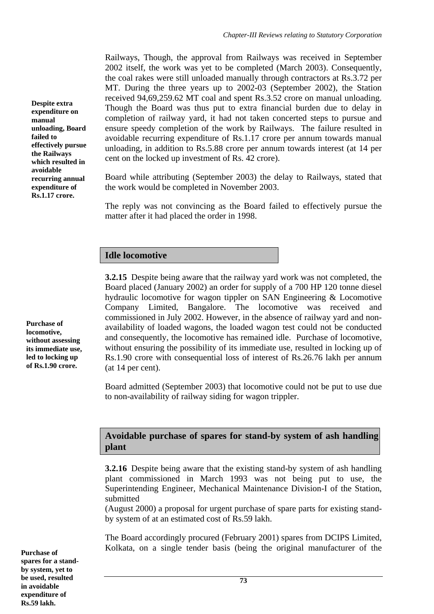Railways, Though, the approval from Railways was received in September 2002 itself, the work was yet to be completed (March 2003). Consequently, the coal rakes were still unloaded manually through contractors at Rs.3.72 per MT. During the three years up to 2002-03 (September 2002), the Station received 94,69,259.62 MT coal and spent Rs.3.52 crore on manual unloading. Though the Board was thus put to extra financial burden due to delay in completion of railway yard, it had not taken concerted steps to pursue and ensure speedy completion of the work by Railways. The failure resulted in avoidable recurring expenditure of Rs.1.17 crore per annum towards manual unloading, in addition to Rs.5.88 crore per annum towards interest (at 14 per cent on the locked up investment of Rs. 42 crore).

Board while attributing (September 2003) the delay to Railways, stated that the work would be completed in November 2003.

The reply was not convincing as the Board failed to effectively pursue the matter after it had placed the order in 1998.

# **Idle locomotive**

**3.2.15** Despite being aware that the railway yard work was not completed, the Board placed (January 2002) an order for supply of a 700 HP 120 tonne diesel hydraulic locomotive for wagon tippler on SAN Engineering & Locomotive Company Limited, Bangalore. The locomotive was received and commissioned in July 2002. However, in the absence of railway yard and nonavailability of loaded wagons, the loaded wagon test could not be conducted and consequently, the locomotive has remained idle. Purchase of locomotive, without ensuring the possibility of its immediate use, resulted in locking up of Rs.1.90 crore with consequential loss of interest of Rs.26.76 lakh per annum (at 14 per cent).

Board admitted (September 2003) that locomotive could not be put to use due to non-availability of railway siding for wagon trippler.

# **Avoidable purchase of spares for stand-by system of ash handling plant**

**3.2.16** Despite being aware that the existing stand-by system of ash handling plant commissioned in March 1993 was not being put to use, the Superintending Engineer, Mechanical Maintenance Division-I of the Station, submitted

(August 2000) a proposal for urgent purchase of spare parts for existing standby system of at an estimated cost of Rs.59 lakh.

The Board accordingly procured (February 2001) spares from DCIPS Limited, Kolkata, on a single tender basis (being the original manufacturer of the

**Despite extra expenditure on manual unloading, Board failed to effectively pursue the Railways which resulted in avoidable recurring annual expenditure of Rs.1.17 crore.** 

**Purchase of locomotive, without assessing its immediate use, led to locking up of Rs.1.90 crore.**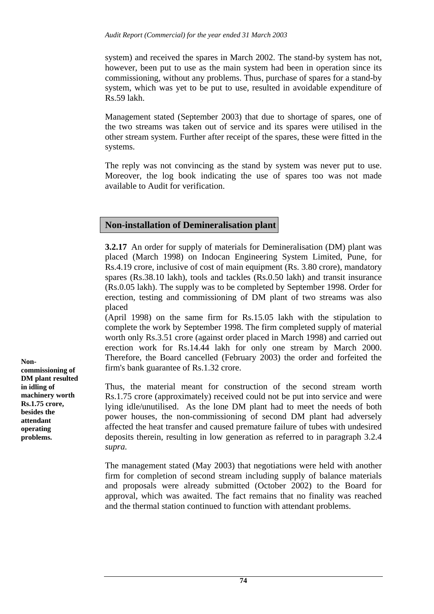system) and received the spares in March 2002. The stand-by system has not, however, been put to use as the main system had been in operation since its commissioning, without any problems. Thus, purchase of spares for a stand-by system, which was yet to be put to use, resulted in avoidable expenditure of Rs.59 lakh.

Management stated (September 2003) that due to shortage of spares, one of the two streams was taken out of service and its spares were utilised in the other stream system. Further after receipt of the spares, these were fitted in the systems.

The reply was not convincing as the stand by system was never put to use. Moreover, the log book indicating the use of spares too was not made available to Audit for verification.

# **Non-installation of Demineralisation plant**

**3.2.17** An order for supply of materials for Demineralisation (DM) plant was placed (March 1998) on Indocan Engineering System Limited, Pune, for Rs.4.19 crore, inclusive of cost of main equipment (Rs. 3.80 crore), mandatory spares (Rs.38.10 lakh), tools and tackles (Rs.0.50 lakh) and transit insurance (Rs.0.05 lakh). The supply was to be completed by September 1998. Order for erection, testing and commissioning of DM plant of two streams was also placed

(April 1998) on the same firm for Rs.15.05 lakh with the stipulation to complete the work by September 1998. The firm completed supply of material worth only Rs.3.51 crore (against order placed in March 1998) and carried out erection work for Rs.14.44 lakh for only one stream by March 2000. Therefore, the Board cancelled (February 2003) the order and forfeited the firm's bank guarantee of Rs.1.32 crore.

Thus, the material meant for construction of the second stream worth Rs.1.75 crore (approximately) received could not be put into service and were lying idle/unutilised. As the lone DM plant had to meet the needs of both power houses, the non-commissioning of second DM plant had adversely affected the heat transfer and caused premature failure of tubes with undesired deposits therein, resulting in low generation as referred to in paragraph 3.2.4 *supra.*

The management stated (May 2003) that negotiations were held with another firm for completion of second stream including supply of balance materials and proposals were already submitted (October 2002) to the Board for approval, which was awaited. The fact remains that no finality was reached and the thermal station continued to function with attendant problems.

**Noncommissioning of DM plant resulted in idling of machinery worth Rs.1.75 crore, besides the attendant operating problems.**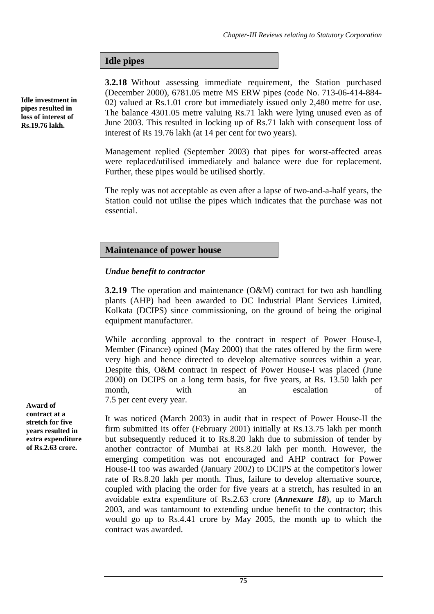# **Idle pipes**

**3.2.18** Without assessing immediate requirement, the Station purchased (December 2000), 6781.05 metre MS ERW pipes (code No. 713-06-414-884- 02) valued at Rs.1.01 crore but immediately issued only 2,480 metre for use. The balance 4301.05 metre valuing Rs.71 lakh were lying unused even as of June 2003. This resulted in locking up of Rs.71 lakh with consequent loss of interest of Rs 19.76 lakh (at 14 per cent for two years).

Management replied (September 2003) that pipes for worst-affected areas were replaced/utilised immediately and balance were due for replacement. Further, these pipes would be utilised shortly.

The reply was not acceptable as even after a lapse of two-and-a-half years, the Station could not utilise the pipes which indicates that the purchase was not essential.

# **Maintenance of power house**

#### *Undue benefit to contractor*

**3.2.19** The operation and maintenance (O&M) contract for two ash handling plants (AHP) had been awarded to DC Industrial Plant Services Limited, Kolkata (DCIPS) since commissioning, on the ground of being the original equipment manufacturer.

While according approval to the contract in respect of Power House-I, Member (Finance) opined (May 2000) that the rates offered by the firm were very high and hence directed to develop alternative sources within a year. Despite this, O&M contract in respect of Power House-I was placed (June 2000) on DCIPS on a long term basis, for five years, at Rs. 13.50 lakh per month, with an escalation of 7.5 per cent every year.

It was noticed (March 2003) in audit that in respect of Power House-II the firm submitted its offer (February 2001) initially at Rs.13.75 lakh per month but subsequently reduced it to Rs.8.20 lakh due to submission of tender by another contractor of Mumbai at Rs.8.20 lakh per month. However, the emerging competition was not encouraged and AHP contract for Power House-II too was awarded (January 2002) to DCIPS at the competitor's lower rate of Rs.8.20 lakh per month. Thus, failure to develop alternative source, coupled with placing the order for five years at a stretch, has resulted in an avoidable extra expenditure of Rs.2.63 crore (*Annexure 18*), up to March 2003, and was tantamount to extending undue benefit to the contractor; this would go up to Rs.4.41 crore by May 2005, the month up to which the contract was awarded.

**Award of contract at a stretch for five years resulted in extra expenditure of Rs.2.63 crore.** 

**Idle investment in pipes resulted in loss of interest of Rs.19.76 lakh.**